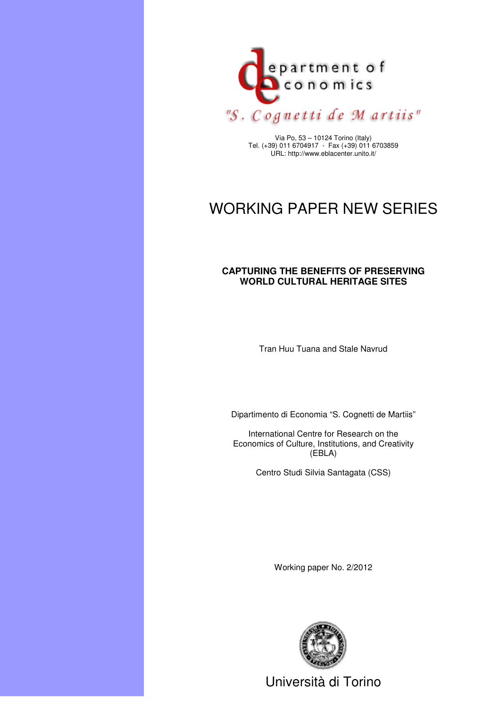

Via Po, 53 – 10124 Torino (Italy) Tel. (+39) 011 6704917 - Fax (+39) 011 6703859 URL: http://www.eblacenter.unito.it/

# WORKING PAPER NEW SERIES

## **CAPTURING THE BENEFITS OF PRESERVING WORLD CULTURAL HERITAGE SITES**

Tran Huu Tuana and Stale Navrud

Dipartimento di Economia "S. Cognetti de Martiis"

International Centre for Research on the Economics of Culture, Institutions, and Creativity (EBLA)

Centro Studi Silvia Santagata (CSS)

Working paper No. 2/2012



Università di Torino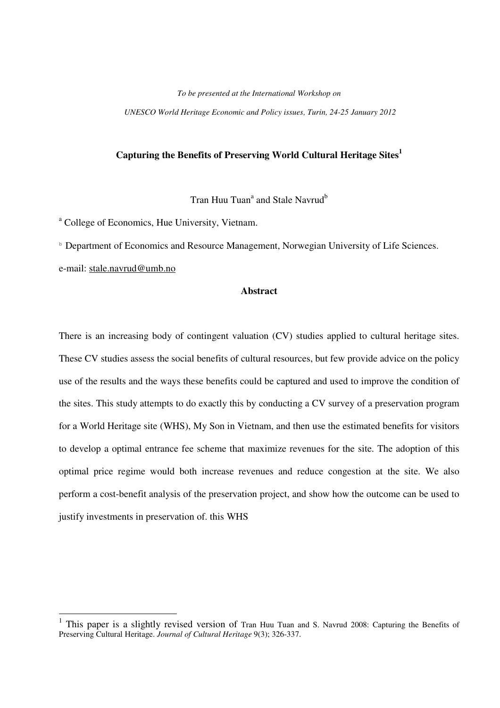#### *To be presented at the International Workshop on*

 *UNESCO World Heritage Economic and Policy issues, Turin, 24-25 January 2012* 

## **Capturing the Benefits of Preserving World Cultural Heritage Sites<sup>1</sup>**

Tran Huu Tuan<sup>a</sup> and Stale Navrud<sup>b</sup>

<sup>a</sup> College of Economics, Hue University, Vietnam.

 $\Delta$  Department of Economics and Resource Management, Norwegian University of Life Sciences.

e-mail: stale.navrud@umb.no

 $\overline{a}$ 

## **Abstract**

There is an increasing body of contingent valuation (CV) studies applied to cultural heritage sites. These CV studies assess the social benefits of cultural resources, but few provide advice on the policy use of the results and the ways these benefits could be captured and used to improve the condition of the sites. This study attempts to do exactly this by conducting a CV survey of a preservation program for a World Heritage site (WHS), My Son in Vietnam, and then use the estimated benefits for visitors to develop a optimal entrance fee scheme that maximize revenues for the site. The adoption of this optimal price regime would both increase revenues and reduce congestion at the site. We also perform a cost-benefit analysis of the preservation project, and show how the outcome can be used to justify investments in preservation of. this WHS

<sup>&</sup>lt;sup>1</sup> This paper is a slightly revised version of Tran Huu Tuan and S. Navrud 2008: Capturing the Benefits of Preserving Cultural Heritage. *Journal of Cultural Heritage* 9(3); 326-337.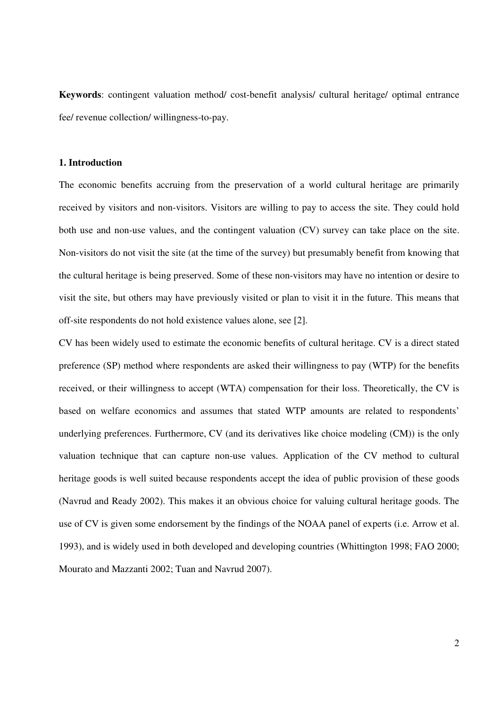**Keywords**: contingent valuation method/ cost-benefit analysis/ cultural heritage/ optimal entrance fee/ revenue collection/ willingness-to-pay.

## **1. Introduction**

The economic benefits accruing from the preservation of a world cultural heritage are primarily received by visitors and non-visitors. Visitors are willing to pay to access the site. They could hold both use and non-use values, and the contingent valuation (CV) survey can take place on the site. Non-visitors do not visit the site (at the time of the survey) but presumably benefit from knowing that the cultural heritage is being preserved. Some of these non-visitors may have no intention or desire to visit the site, but others may have previously visited or plan to visit it in the future. This means that off-site respondents do not hold existence values alone, see [2].

CV has been widely used to estimate the economic benefits of cultural heritage. CV is a direct stated preference (SP) method where respondents are asked their willingness to pay (WTP) for the benefits received, or their willingness to accept (WTA) compensation for their loss. Theoretically, the CV is based on welfare economics and assumes that stated WTP amounts are related to respondents' underlying preferences. Furthermore, CV (and its derivatives like choice modeling (CM)) is the only valuation technique that can capture non-use values. Application of the CV method to cultural heritage goods is well suited because respondents accept the idea of public provision of these goods (Navrud and Ready 2002). This makes it an obvious choice for valuing cultural heritage goods. The use of CV is given some endorsement by the findings of the NOAA panel of experts (i.e. Arrow et al. 1993), and is widely used in both developed and developing countries (Whittington 1998; FAO 2000; Mourato and Mazzanti 2002; Tuan and Navrud 2007).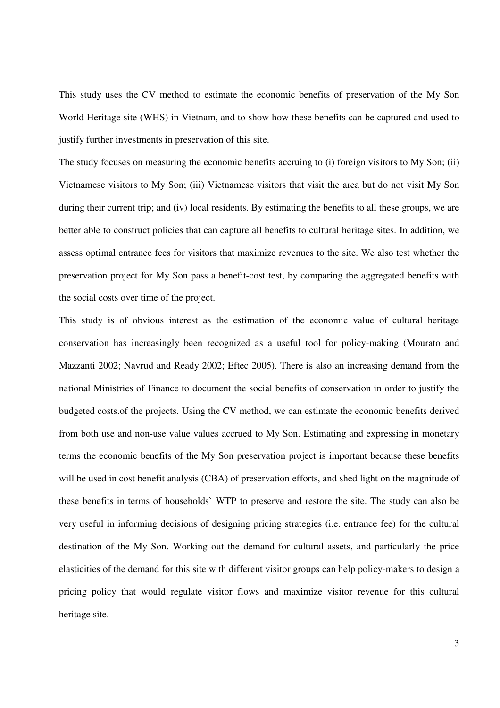This study uses the CV method to estimate the economic benefits of preservation of the My Son World Heritage site (WHS) in Vietnam, and to show how these benefits can be captured and used to justify further investments in preservation of this site.

The study focuses on measuring the economic benefits accruing to (i) foreign visitors to My Son; (ii) Vietnamese visitors to My Son; (iii) Vietnamese visitors that visit the area but do not visit My Son during their current trip; and (iv) local residents. By estimating the benefits to all these groups, we are better able to construct policies that can capture all benefits to cultural heritage sites. In addition, we assess optimal entrance fees for visitors that maximize revenues to the site. We also test whether the preservation project for My Son pass a benefit-cost test, by comparing the aggregated benefits with the social costs over time of the project.

This study is of obvious interest as the estimation of the economic value of cultural heritage conservation has increasingly been recognized as a useful tool for policy-making (Mourato and Mazzanti 2002; Navrud and Ready 2002; Eftec 2005). There is also an increasing demand from the national Ministries of Finance to document the social benefits of conservation in order to justify the budgeted costs.of the projects. Using the CV method, we can estimate the economic benefits derived from both use and non-use value values accrued to My Son. Estimating and expressing in monetary terms the economic benefits of the My Son preservation project is important because these benefits will be used in cost benefit analysis (CBA) of preservation efforts, and shed light on the magnitude of these benefits in terms of households` WTP to preserve and restore the site. The study can also be very useful in informing decisions of designing pricing strategies (i.e. entrance fee) for the cultural destination of the My Son. Working out the demand for cultural assets, and particularly the price elasticities of the demand for this site with different visitor groups can help policy-makers to design a pricing policy that would regulate visitor flows and maximize visitor revenue for this cultural heritage site.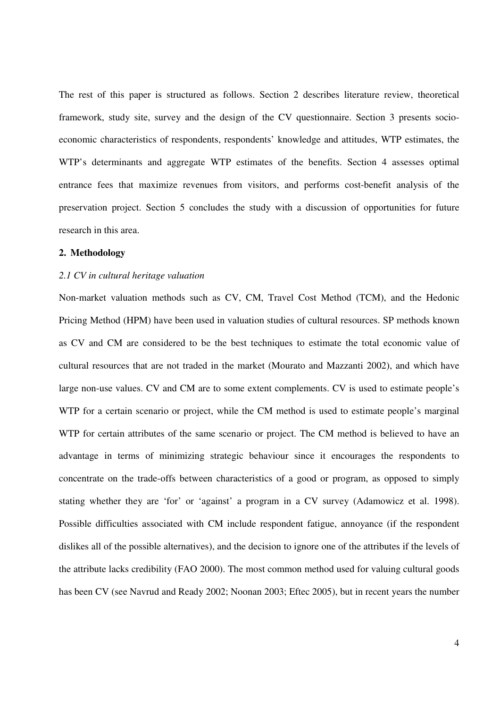The rest of this paper is structured as follows. Section 2 describes literature review, theoretical framework, study site, survey and the design of the CV questionnaire. Section 3 presents socioeconomic characteristics of respondents, respondents' knowledge and attitudes, WTP estimates, the WTP's determinants and aggregate WTP estimates of the benefits. Section 4 assesses optimal entrance fees that maximize revenues from visitors, and performs cost-benefit analysis of the preservation project. Section 5 concludes the study with a discussion of opportunities for future research in this area.

## **2. Methodology**

## *2.1 CV in cultural heritage valuation*

Non-market valuation methods such as CV, CM, Travel Cost Method (TCM), and the Hedonic Pricing Method (HPM) have been used in valuation studies of cultural resources. SP methods known as CV and CM are considered to be the best techniques to estimate the total economic value of cultural resources that are not traded in the market (Mourato and Mazzanti 2002), and which have large non-use values. CV and CM are to some extent complements. CV is used to estimate people's WTP for a certain scenario or project, while the CM method is used to estimate people's marginal WTP for certain attributes of the same scenario or project. The CM method is believed to have an advantage in terms of minimizing strategic behaviour since it encourages the respondents to concentrate on the trade-offs between characteristics of a good or program, as opposed to simply stating whether they are 'for' or 'against' a program in a CV survey (Adamowicz et al. 1998). Possible difficulties associated with CM include respondent fatigue, annoyance (if the respondent dislikes all of the possible alternatives), and the decision to ignore one of the attributes if the levels of the attribute lacks credibility (FAO 2000). The most common method used for valuing cultural goods has been CV (see Navrud and Ready 2002; Noonan 2003; Eftec 2005), but in recent years the number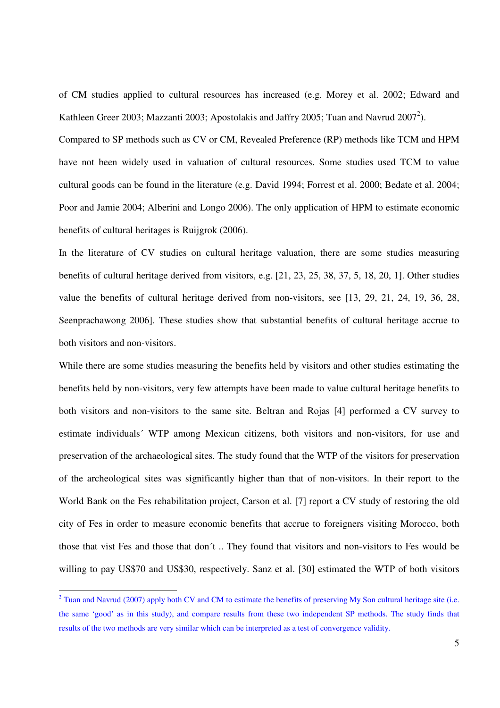of CM studies applied to cultural resources has increased (e.g. Morey et al. 2002; Edward and Kathleen Greer 2003; Mazzanti 2003; Apostolakis and Jaffry 2005; Tuan and Navrud 2007<sup>2</sup>).

Compared to SP methods such as CV or CM, Revealed Preference (RP) methods like TCM and HPM have not been widely used in valuation of cultural resources. Some studies used TCM to value cultural goods can be found in the literature (e.g. David 1994; Forrest et al. 2000; Bedate et al. 2004; Poor and Jamie 2004; Alberini and Longo 2006). The only application of HPM to estimate economic benefits of cultural heritages is Ruijgrok (2006).

In the literature of CV studies on cultural heritage valuation, there are some studies measuring benefits of cultural heritage derived from visitors, e.g. [21, 23, 25, 38, 37, 5, 18, 20, 1]. Other studies value the benefits of cultural heritage derived from non-visitors, see [13, 29, 21, 24, 19, 36, 28, Seenprachawong 2006]. These studies show that substantial benefits of cultural heritage accrue to both visitors and non-visitors.

While there are some studies measuring the benefits held by visitors and other studies estimating the benefits held by non-visitors, very few attempts have been made to value cultural heritage benefits to both visitors and non-visitors to the same site. Beltran and Rojas [4] performed a CV survey to estimate individuals´ WTP among Mexican citizens, both visitors and non-visitors, for use and preservation of the archaeological sites. The study found that the WTP of the visitors for preservation of the archeological sites was significantly higher than that of non-visitors. In their report to the World Bank on the Fes rehabilitation project, Carson et al. [7] report a CV study of restoring the old city of Fes in order to measure economic benefits that accrue to foreigners visiting Morocco, both those that vist Fes and those that don´t .. They found that visitors and non-visitors to Fes would be willing to pay US\$70 and US\$30, respectively. Sanz et al. [30] estimated the WTP of both visitors

-

 $2$  Tuan and Navrud (2007) apply both CV and CM to estimate the benefits of preserving My Son cultural heritage site (i.e. the same 'good' as in this study), and compare results from these two independent SP methods. The study finds that results of the two methods are very similar which can be interpreted as a test of convergence validity.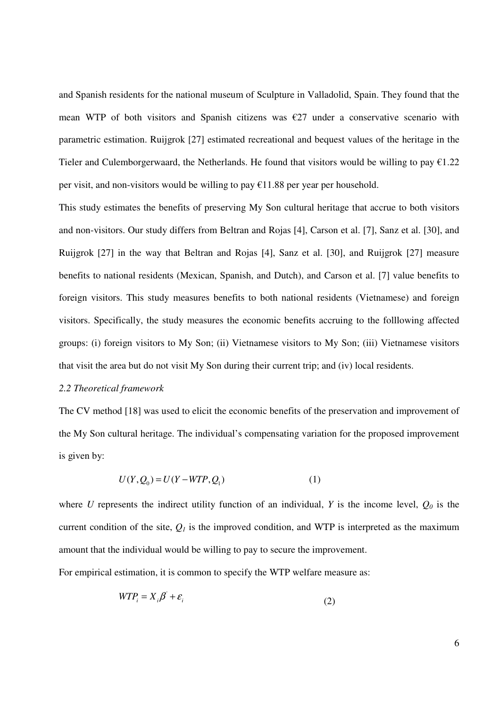and Spanish residents for the national museum of Sculpture in Valladolid, Spain. They found that the mean WTP of both visitors and Spanish citizens was  $\epsilon$ 27 under a conservative scenario with parametric estimation. Ruijgrok [27] estimated recreational and bequest values of the heritage in the Tieler and Culemborgerwaard, the Netherlands. He found that visitors would be willing to pay  $\epsilon$ 1.22 per visit, and non-visitors would be willing to pay  $\epsilon$ 11.88 per year per household.

This study estimates the benefits of preserving My Son cultural heritage that accrue to both visitors and non-visitors. Our study differs from Beltran and Rojas [4], Carson et al. [7], Sanz et al. [30], and Ruijgrok [27] in the way that Beltran and Rojas [4], Sanz et al. [30], and Ruijgrok [27] measure benefits to national residents (Mexican, Spanish, and Dutch), and Carson et al. [7] value benefits to foreign visitors. This study measures benefits to both national residents (Vietnamese) and foreign visitors. Specifically, the study measures the economic benefits accruing to the folllowing affected groups: (i) foreign visitors to My Son; (ii) Vietnamese visitors to My Son; (iii) Vietnamese visitors that visit the area but do not visit My Son during their current trip; and (iv) local residents.

#### *2.2 Theoretical framework*

The CV method [18] was used to elicit the economic benefits of the preservation and improvement of the My Son cultural heritage. The individual's compensating variation for the proposed improvement is given by:

$$
U(Y, Q_0) = U(Y - WTP, Q_1)
$$
\n<sup>(1)</sup>

where *U* represents the indirect utility function of an individual, *Y* is the income level,  $Q_0$  is the current condition of the site,  $Q<sub>I</sub>$  is the improved condition, and WTP is interpreted as the maximum amount that the individual would be willing to pay to secure the improvement.

For empirical estimation, it is common to specify the WTP welfare measure as:

'

$$
WTP_i = X_i\beta + \varepsilon_i \tag{2}
$$

6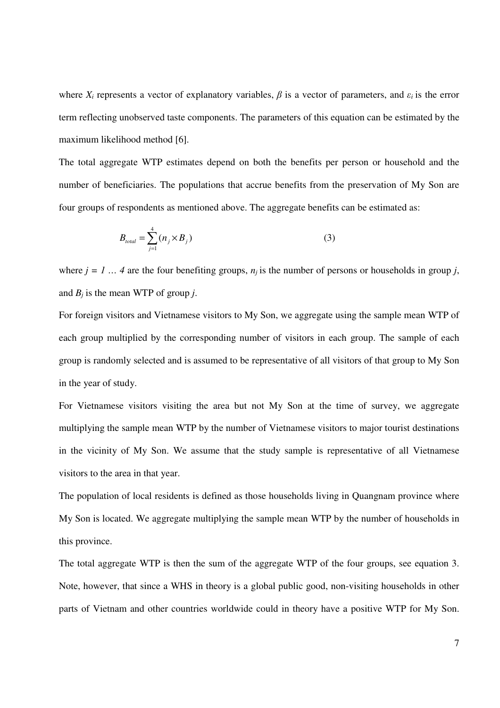where  $X_i$  represents a vector of explanatory variables,  $\beta$  is a vector of parameters, and  $\varepsilon_i$  is the error term reflecting unobserved taste components. The parameters of this equation can be estimated by the maximum likelihood method [6].

The total aggregate WTP estimates depend on both the benefits per person or household and the number of beneficiaries. The populations that accrue benefits from the preservation of My Son are four groups of respondents as mentioned above. The aggregate benefits can be estimated as:

$$
B_{total} = \sum_{j=1}^{4} (n_j \times B_j)
$$
 (3)

where  $j = 1 \ldots 4$  are the four benefiting groups,  $n_j$  is the number of persons or households in group *j*, and  $B_i$  is the mean WTP of group *j*.

For foreign visitors and Vietnamese visitors to My Son, we aggregate using the sample mean WTP of each group multiplied by the corresponding number of visitors in each group. The sample of each group is randomly selected and is assumed to be representative of all visitors of that group to My Son in the year of study.

For Vietnamese visitors visiting the area but not My Son at the time of survey, we aggregate multiplying the sample mean WTP by the number of Vietnamese visitors to major tourist destinations in the vicinity of My Son. We assume that the study sample is representative of all Vietnamese visitors to the area in that year.

The population of local residents is defined as those households living in Quangnam province where My Son is located. We aggregate multiplying the sample mean WTP by the number of households in this province.

The total aggregate WTP is then the sum of the aggregate WTP of the four groups, see equation 3. Note, however, that since a WHS in theory is a global public good, non-visiting households in other parts of Vietnam and other countries worldwide could in theory have a positive WTP for My Son.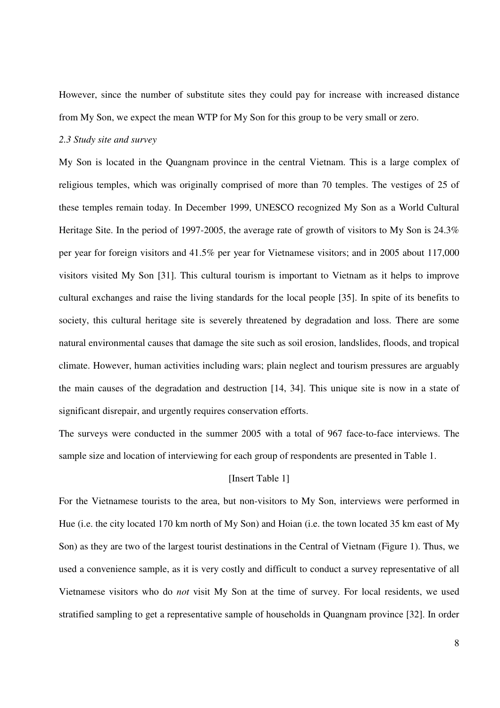However, since the number of substitute sites they could pay for increase with increased distance from My Son, we expect the mean WTP for My Son for this group to be very small or zero.

#### *2.3 Study site and survey*

My Son is located in the Quangnam province in the central Vietnam. This is a large complex of religious temples, which was originally comprised of more than 70 temples. The vestiges of 25 of these temples remain today. In December 1999, UNESCO recognized My Son as a World Cultural Heritage Site. In the period of 1997-2005, the average rate of growth of visitors to My Son is 24.3% per year for foreign visitors and 41.5% per year for Vietnamese visitors; and in 2005 about 117,000 visitors visited My Son [31]. This cultural tourism is important to Vietnam as it helps to improve cultural exchanges and raise the living standards for the local people [35]. In spite of its benefits to society, this cultural heritage site is severely threatened by degradation and loss. There are some natural environmental causes that damage the site such as soil erosion, landslides, floods, and tropical climate. However, human activities including wars; plain neglect and tourism pressures are arguably the main causes of the degradation and destruction [14, 34]. This unique site is now in a state of significant disrepair, and urgently requires conservation efforts.

The surveys were conducted in the summer 2005 with a total of 967 face-to-face interviews. The sample size and location of interviewing for each group of respondents are presented in Table 1.

## [Insert Table 1]

For the Vietnamese tourists to the area, but non-visitors to My Son, interviews were performed in Hue (i.e. the city located 170 km north of My Son) and Hoian (i.e. the town located 35 km east of My Son) as they are two of the largest tourist destinations in the Central of Vietnam (Figure 1). Thus, we used a convenience sample, as it is very costly and difficult to conduct a survey representative of all Vietnamese visitors who do *not* visit My Son at the time of survey. For local residents, we used stratified sampling to get a representative sample of households in Quangnam province [32]. In order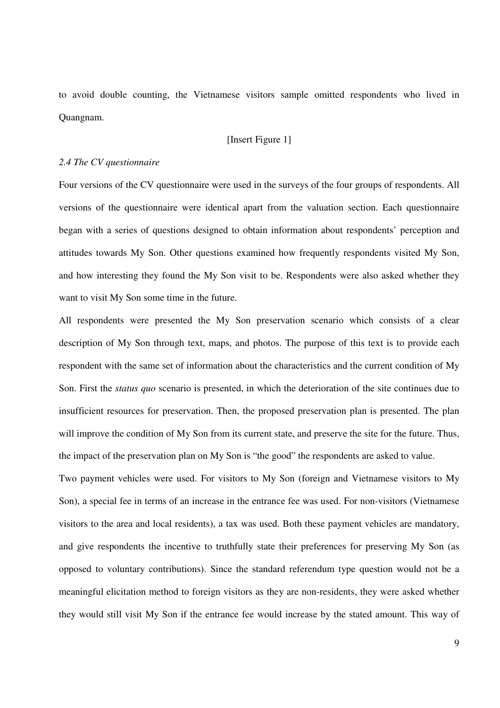to avoid double counting, the Vietnamese visitors sample omitted respondents who lived in Quangnam.

## [Insert Figure 1]

#### *2.4 The CV questionnaire*

Four versions of the CV questionnaire were used in the surveys of the four groups of respondents. All versions of the questionnaire were identical apart from the valuation section. Each questionnaire began with a series of questions designed to obtain information about respondents' perception and attitudes towards My Son. Other questions examined how frequently respondents visited My Son, and how interesting they found the My Son visit to be. Respondents were also asked whether they want to visit My Son some time in the future.

All respondents were presented the My Son preservation scenario which consists of a clear description of My Son through text, maps, and photos. The purpose of this text is to provide each respondent with the same set of information about the characteristics and the current condition of My Son. First the *status quo* scenario is presented, in which the deterioration of the site continues due to insufficient resources for preservation. Then, the proposed preservation plan is presented. The plan will improve the condition of My Son from its current state, and preserve the site for the future. Thus, the impact of the preservation plan on My Son is "the good" the respondents are asked to value.

Two payment vehicles were used. For visitors to My Son (foreign and Vietnamese visitors to My Son), a special fee in terms of an increase in the entrance fee was used. For non-visitors (Vietnamese visitors to the area and local residents), a tax was used. Both these payment vehicles are mandatory, and give respondents the incentive to truthfully state their preferences for preserving My Son (as opposed to voluntary contributions). Since the standard referendum type question would not be a meaningful elicitation method to foreign visitors as they are non-residents, they were asked whether they would still visit My Son if the entrance fee would increase by the stated amount. This way of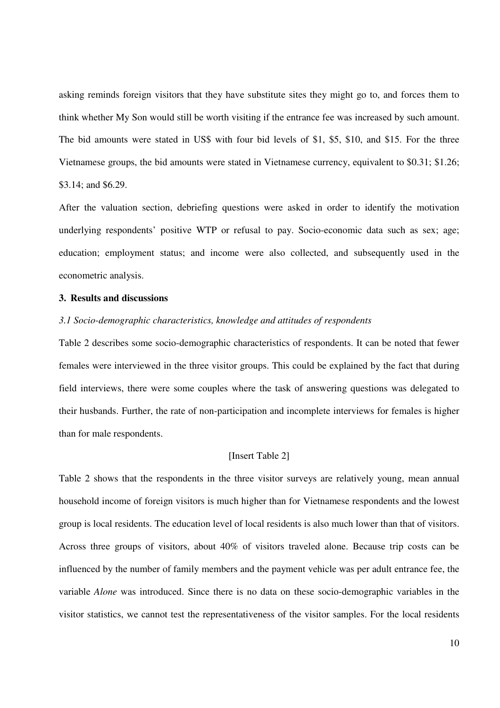asking reminds foreign visitors that they have substitute sites they might go to, and forces them to think whether My Son would still be worth visiting if the entrance fee was increased by such amount. The bid amounts were stated in US\$ with four bid levels of \$1, \$5, \$10, and \$15. For the three Vietnamese groups, the bid amounts were stated in Vietnamese currency, equivalent to \$0.31; \$1.26; \$3.14; and \$6.29.

After the valuation section, debriefing questions were asked in order to identify the motivation underlying respondents' positive WTP or refusal to pay. Socio-economic data such as sex; age; education; employment status; and income were also collected, and subsequently used in the econometric analysis.

## **3. Results and discussions**

#### *3.1 Socio-demographic characteristics, knowledge and attitudes of respondents*

Table 2 describes some socio-demographic characteristics of respondents. It can be noted that fewer females were interviewed in the three visitor groups. This could be explained by the fact that during field interviews, there were some couples where the task of answering questions was delegated to their husbands. Further, the rate of non-participation and incomplete interviews for females is higher than for male respondents.

## [Insert Table 2]

Table 2 shows that the respondents in the three visitor surveys are relatively young, mean annual household income of foreign visitors is much higher than for Vietnamese respondents and the lowest group is local residents. The education level of local residents is also much lower than that of visitors. Across three groups of visitors, about 40% of visitors traveled alone. Because trip costs can be influenced by the number of family members and the payment vehicle was per adult entrance fee, the variable *Alone* was introduced. Since there is no data on these socio-demographic variables in the visitor statistics, we cannot test the representativeness of the visitor samples. For the local residents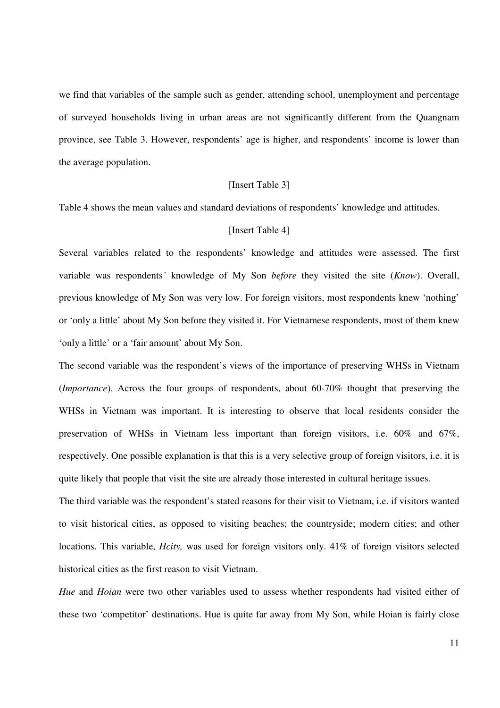we find that variables of the sample such as gender, attending school, unemployment and percentage of surveyed households living in urban areas are not significantly different from the Quangnam province, see Table 3. However, respondents' age is higher, and respondents' income is lower than the average population.

#### [Insert Table 3]

Table 4 shows the mean values and standard deviations of respondents' knowledge and attitudes.

## [Insert Table 4]

Several variables related to the respondents' knowledge and attitudes were assessed. The first variable was respondents´ knowledge of My Son *before* they visited the site (*Know*). Overall, previous knowledge of My Son was very low. For foreign visitors, most respondents knew 'nothing' or 'only a little' about My Son before they visited it. For Vietnamese respondents, most of them knew 'only a little' or a 'fair amount' about My Son.

The second variable was the respondent's views of the importance of preserving WHSs in Vietnam (*Importance*). Across the four groups of respondents, about 60-70% thought that preserving the WHSs in Vietnam was important. It is interesting to observe that local residents consider the preservation of WHSs in Vietnam less important than foreign visitors, i.e. 60% and 67%, respectively. One possible explanation is that this is a very selective group of foreign visitors, i.e. it is quite likely that people that visit the site are already those interested in cultural heritage issues.

The third variable was the respondent's stated reasons for their visit to Vietnam, i.e. if visitors wanted to visit historical cities, as opposed to visiting beaches; the countryside; modern cities; and other locations. This variable, *Hcity,* was used for foreign visitors only. 41% of foreign visitors selected historical cities as the first reason to visit Vietnam.

*Hue* and *Hoian* were two other variables used to assess whether respondents had visited either of these two 'competitor' destinations. Hue is quite far away from My Son, while Hoian is fairly close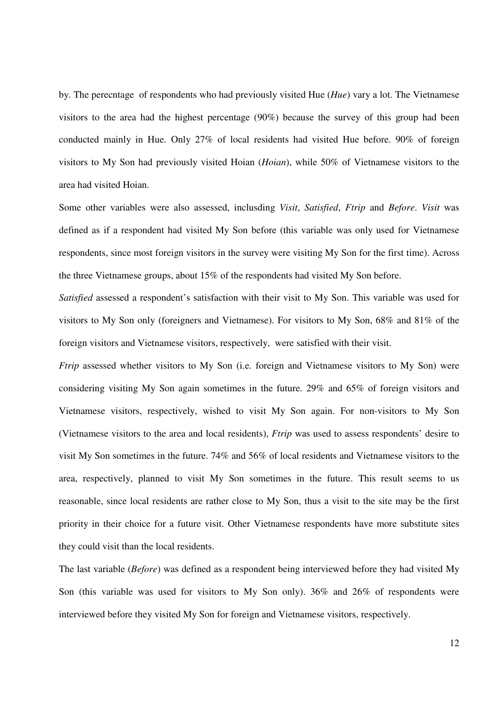by. The perecntage of respondents who had previously visited Hue (*Hue*) vary a lot. The Vietnamese visitors to the area had the highest percentage (90%) because the survey of this group had been conducted mainly in Hue. Only 27% of local residents had visited Hue before. 90% of foreign visitors to My Son had previously visited Hoian (*Hoian*), while 50% of Vietnamese visitors to the area had visited Hoian.

Some other variables were also assessed, inclusding *Visit*, *Satisfied*, *Ftrip* and *Before*. *Visit* was defined as if a respondent had visited My Son before (this variable was only used for Vietnamese respondents, since most foreign visitors in the survey were visiting My Son for the first time). Across the three Vietnamese groups, about 15% of the respondents had visited My Son before.

*Satisfied* assessed a respondent's satisfaction with their visit to My Son. This variable was used for visitors to My Son only (foreigners and Vietnamese). For visitors to My Son, 68% and 81% of the foreign visitors and Vietnamese visitors, respectively, were satisfied with their visit.

*Ftrip* assessed whether visitors to My Son (i.e. foreign and Vietnamese visitors to My Son) were considering visiting My Son again sometimes in the future. 29% and 65% of foreign visitors and Vietnamese visitors, respectively, wished to visit My Son again. For non-visitors to My Son (Vietnamese visitors to the area and local residents), *Ftrip* was used to assess respondents' desire to visit My Son sometimes in the future. 74% and 56% of local residents and Vietnamese visitors to the area, respectively, planned to visit My Son sometimes in the future. This result seems to us reasonable, since local residents are rather close to My Son, thus a visit to the site may be the first priority in their choice for a future visit. Other Vietnamese respondents have more substitute sites they could visit than the local residents.

The last variable (*Before*) was defined as a respondent being interviewed before they had visited My Son (this variable was used for visitors to My Son only). 36% and 26% of respondents were interviewed before they visited My Son for foreign and Vietnamese visitors, respectively.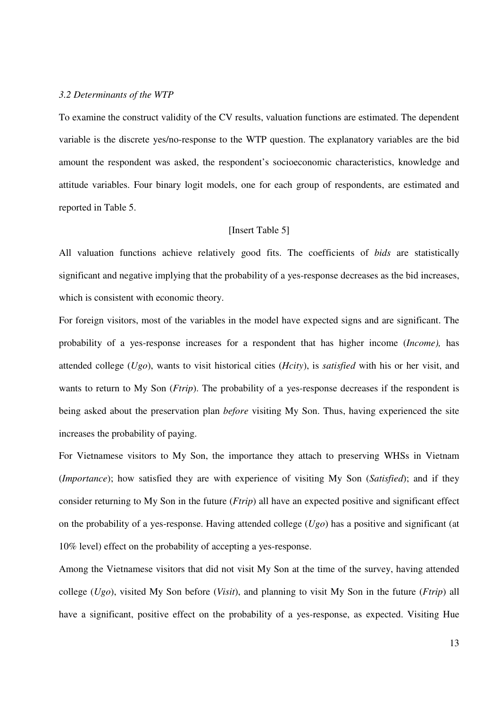#### *3.2 Determinants of the WTP*

To examine the construct validity of the CV results, valuation functions are estimated. The dependent variable is the discrete yes/no-response to the WTP question. The explanatory variables are the bid amount the respondent was asked, the respondent's socioeconomic characteristics, knowledge and attitude variables. Four binary logit models, one for each group of respondents, are estimated and reported in Table 5.

## [Insert Table 5]

All valuation functions achieve relatively good fits. The coefficients of *bids* are statistically significant and negative implying that the probability of a yes-response decreases as the bid increases, which is consistent with economic theory.

For foreign visitors, most of the variables in the model have expected signs and are significant. The probability of a yes-response increases for a respondent that has higher income (*Income),* has attended college (*Ugo*), wants to visit historical cities (*Hcity*), is *satisfied* with his or her visit, and wants to return to My Son (*Ftrip*). The probability of a yes-response decreases if the respondent is being asked about the preservation plan *before* visiting My Son. Thus, having experienced the site increases the probability of paying.

For Vietnamese visitors to My Son, the importance they attach to preserving WHSs in Vietnam (*Importance*); how satisfied they are with experience of visiting My Son (*Satisfied*); and if they consider returning to My Son in the future (*Ftrip*) all have an expected positive and significant effect on the probability of a yes-response. Having attended college (*Ugo*) has a positive and significant (at 10% level) effect on the probability of accepting a yes-response.

Among the Vietnamese visitors that did not visit My Son at the time of the survey, having attended college (*Ugo*), visited My Son before (*Visit*), and planning to visit My Son in the future (*Ftrip*) all have a significant, positive effect on the probability of a yes-response, as expected. Visiting Hue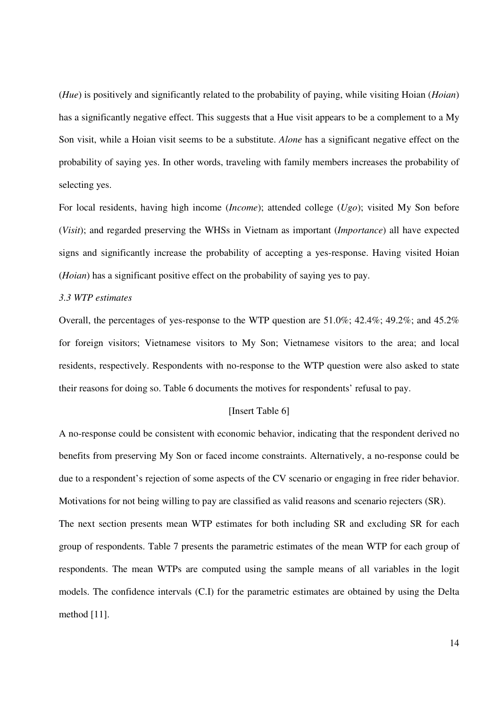(*Hue*) is positively and significantly related to the probability of paying, while visiting Hoian (*Hoian*) has a significantly negative effect. This suggests that a Hue visit appears to be a complement to a My Son visit, while a Hoian visit seems to be a substitute. *Alone* has a significant negative effect on the probability of saying yes. In other words, traveling with family members increases the probability of selecting yes.

For local residents, having high income (*Income*); attended college (*Ugo*); visited My Son before (*Visit*); and regarded preserving the WHSs in Vietnam as important (*Importance*) all have expected signs and significantly increase the probability of accepting a yes-response. Having visited Hoian (*Hoian*) has a significant positive effect on the probability of saying yes to pay.

## *3.3 WTP estimates*

Overall, the percentages of yes-response to the WTP question are 51.0%; 42.4%; 49.2%; and 45.2% for foreign visitors; Vietnamese visitors to My Son; Vietnamese visitors to the area; and local residents, respectively. Respondents with no-response to the WTP question were also asked to state their reasons for doing so. Table 6 documents the motives for respondents' refusal to pay.

#### [Insert Table 6]

A no-response could be consistent with economic behavior, indicating that the respondent derived no benefits from preserving My Son or faced income constraints. Alternatively, a no-response could be due to a respondent's rejection of some aspects of the CV scenario or engaging in free rider behavior. Motivations for not being willing to pay are classified as valid reasons and scenario rejecters (SR). The next section presents mean WTP estimates for both including SR and excluding SR for each group of respondents. Table 7 presents the parametric estimates of the mean WTP for each group of respondents. The mean WTPs are computed using the sample means of all variables in the logit models. The confidence intervals (C.I) for the parametric estimates are obtained by using the Delta method [11].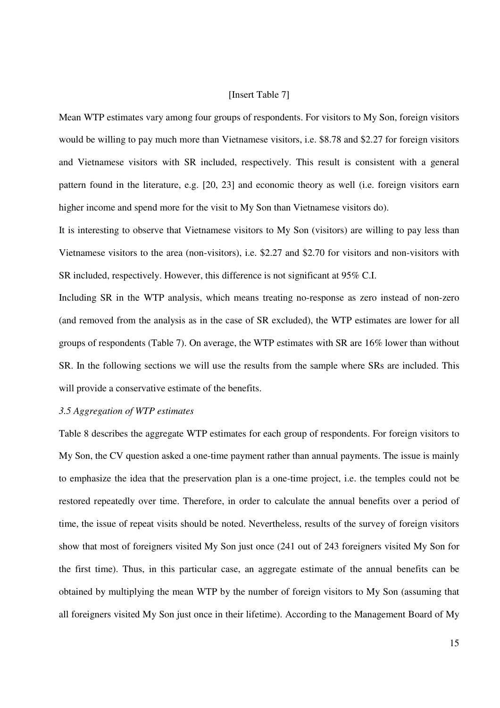#### [Insert Table 7]

Mean WTP estimates vary among four groups of respondents. For visitors to My Son, foreign visitors would be willing to pay much more than Vietnamese visitors, i.e. \$8.78 and \$2.27 for foreign visitors and Vietnamese visitors with SR included, respectively. This result is consistent with a general pattern found in the literature, e.g. [20, 23] and economic theory as well (i.e. foreign visitors earn higher income and spend more for the visit to My Son than Vietnamese visitors do).

It is interesting to observe that Vietnamese visitors to My Son (visitors) are willing to pay less than Vietnamese visitors to the area (non-visitors), i.e. \$2.27 and \$2.70 for visitors and non-visitors with SR included, respectively. However, this difference is not significant at 95% C.I.

Including SR in the WTP analysis, which means treating no-response as zero instead of non-zero (and removed from the analysis as in the case of SR excluded), the WTP estimates are lower for all groups of respondents (Table 7). On average, the WTP estimates with SR are 16% lower than without SR. In the following sections we will use the results from the sample where SRs are included. This will provide a conservative estimate of the benefits.

## *3.5 Aggregation of WTP estimates*

Table 8 describes the aggregate WTP estimates for each group of respondents. For foreign visitors to My Son, the CV question asked a one-time payment rather than annual payments. The issue is mainly to emphasize the idea that the preservation plan is a one-time project, i.e. the temples could not be restored repeatedly over time. Therefore, in order to calculate the annual benefits over a period of time, the issue of repeat visits should be noted. Nevertheless, results of the survey of foreign visitors show that most of foreigners visited My Son just once (241 out of 243 foreigners visited My Son for the first time). Thus, in this particular case, an aggregate estimate of the annual benefits can be obtained by multiplying the mean WTP by the number of foreign visitors to My Son (assuming that all foreigners visited My Son just once in their lifetime). According to the Management Board of My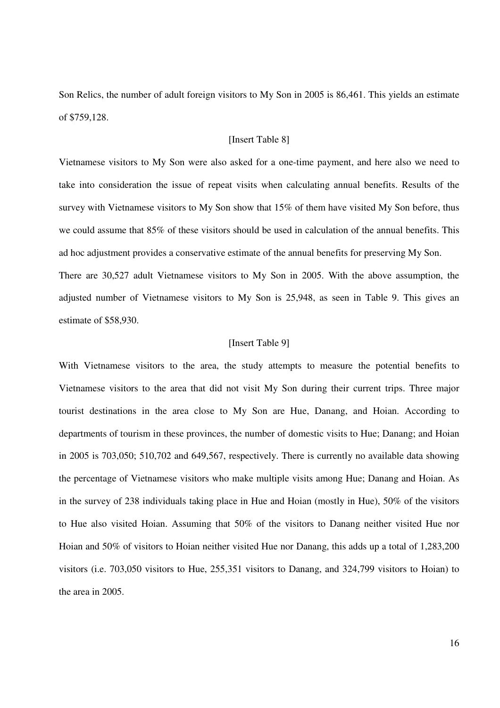Son Relics, the number of adult foreign visitors to My Son in 2005 is 86,461. This yields an estimate of \$759,128.

#### [Insert Table 8]

Vietnamese visitors to My Son were also asked for a one-time payment, and here also we need to take into consideration the issue of repeat visits when calculating annual benefits. Results of the survey with Vietnamese visitors to My Son show that 15% of them have visited My Son before, thus we could assume that 85% of these visitors should be used in calculation of the annual benefits. This ad hoc adjustment provides a conservative estimate of the annual benefits for preserving My Son.

There are 30,527 adult Vietnamese visitors to My Son in 2005. With the above assumption, the adjusted number of Vietnamese visitors to My Son is 25,948, as seen in Table 9. This gives an estimate of \$58,930.

#### [Insert Table 9]

With Vietnamese visitors to the area, the study attempts to measure the potential benefits to Vietnamese visitors to the area that did not visit My Son during their current trips. Three major tourist destinations in the area close to My Son are Hue, Danang, and Hoian. According to departments of tourism in these provinces, the number of domestic visits to Hue; Danang; and Hoian in 2005 is 703,050; 510,702 and 649,567, respectively. There is currently no available data showing the percentage of Vietnamese visitors who make multiple visits among Hue; Danang and Hoian. As in the survey of 238 individuals taking place in Hue and Hoian (mostly in Hue), 50% of the visitors to Hue also visited Hoian. Assuming that 50% of the visitors to Danang neither visited Hue nor Hoian and 50% of visitors to Hoian neither visited Hue nor Danang, this adds up a total of 1,283,200 visitors (i.e. 703,050 visitors to Hue, 255,351 visitors to Danang, and 324,799 visitors to Hoian) to the area in 2005.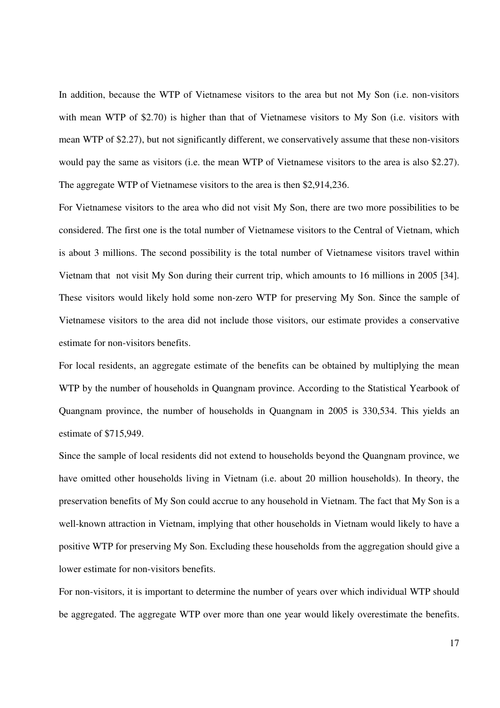In addition, because the WTP of Vietnamese visitors to the area but not My Son (i.e. non-visitors with mean WTP of \$2.70) is higher than that of Vietnamese visitors to My Son (i.e. visitors with mean WTP of \$2.27), but not significantly different, we conservatively assume that these non-visitors would pay the same as visitors (i.e. the mean WTP of Vietnamese visitors to the area is also \$2.27). The aggregate WTP of Vietnamese visitors to the area is then \$2,914,236.

For Vietnamese visitors to the area who did not visit My Son, there are two more possibilities to be considered. The first one is the total number of Vietnamese visitors to the Central of Vietnam, which is about 3 millions. The second possibility is the total number of Vietnamese visitors travel within Vietnam that not visit My Son during their current trip, which amounts to 16 millions in 2005 [34]. These visitors would likely hold some non-zero WTP for preserving My Son. Since the sample of Vietnamese visitors to the area did not include those visitors, our estimate provides a conservative estimate for non-visitors benefits.

For local residents, an aggregate estimate of the benefits can be obtained by multiplying the mean WTP by the number of households in Quangnam province. According to the Statistical Yearbook of Quangnam province, the number of households in Quangnam in 2005 is 330,534. This yields an estimate of \$715,949.

Since the sample of local residents did not extend to households beyond the Quangnam province, we have omitted other households living in Vietnam (i.e. about 20 million households). In theory, the preservation benefits of My Son could accrue to any household in Vietnam. The fact that My Son is a well-known attraction in Vietnam, implying that other households in Vietnam would likely to have a positive WTP for preserving My Son. Excluding these households from the aggregation should give a lower estimate for non-visitors benefits.

For non-visitors, it is important to determine the number of years over which individual WTP should be aggregated. The aggregate WTP over more than one year would likely overestimate the benefits.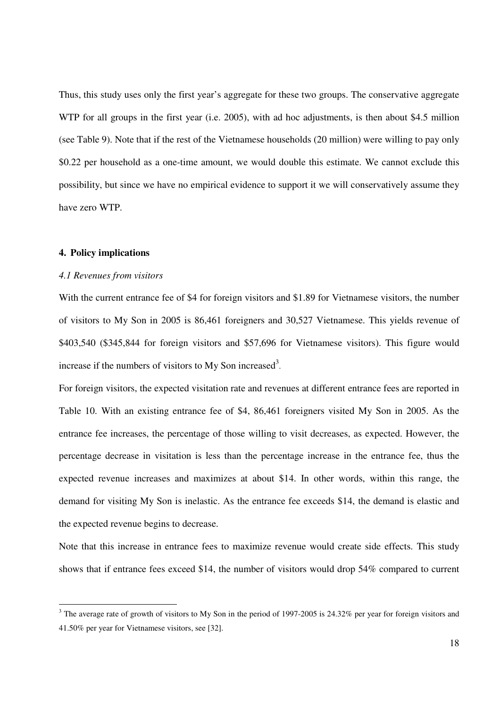Thus, this study uses only the first year's aggregate for these two groups. The conservative aggregate WTP for all groups in the first year (i.e. 2005), with ad hoc adjustments, is then about \$4.5 million (see Table 9). Note that if the rest of the Vietnamese households (20 million) were willing to pay only \$0.22 per household as a one-time amount, we would double this estimate. We cannot exclude this possibility, but since we have no empirical evidence to support it we will conservatively assume they have zero WTP.

## **4. Policy implications**

-

#### *4.1 Revenues from visitors*

With the current entrance fee of \$4 for foreign visitors and \$1.89 for Vietnamese visitors, the number of visitors to My Son in 2005 is 86,461 foreigners and 30,527 Vietnamese. This yields revenue of \$403,540 (\$345,844 for foreign visitors and \$57,696 for Vietnamese visitors). This figure would increase if the numbers of visitors to My Son increased<sup>3</sup>.

For foreign visitors, the expected visitation rate and revenues at different entrance fees are reported in Table 10. With an existing entrance fee of \$4, 86,461 foreigners visited My Son in 2005. As the entrance fee increases, the percentage of those willing to visit decreases, as expected. However, the percentage decrease in visitation is less than the percentage increase in the entrance fee, thus the expected revenue increases and maximizes at about \$14. In other words, within this range, the demand for visiting My Son is inelastic. As the entrance fee exceeds \$14, the demand is elastic and the expected revenue begins to decrease.

Note that this increase in entrance fees to maximize revenue would create side effects. This study shows that if entrance fees exceed \$14, the number of visitors would drop 54% compared to current

 $3$  The average rate of growth of visitors to My Son in the period of 1997-2005 is 24.32% per year for foreign visitors and 41.50% per year for Vietnamese visitors, see [32].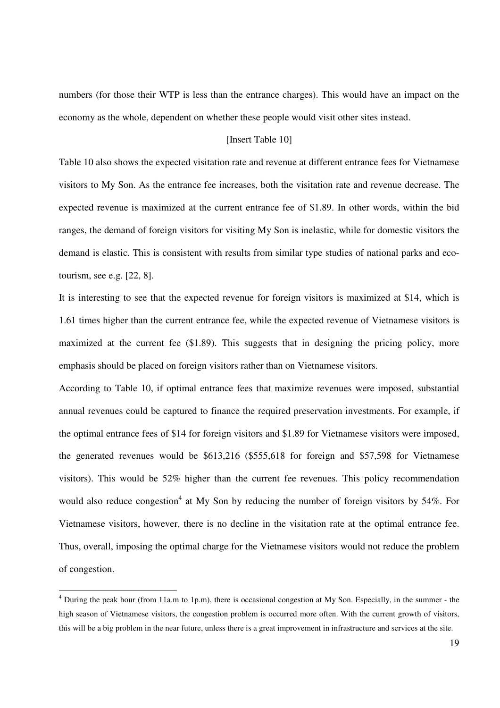numbers (for those their WTP is less than the entrance charges). This would have an impact on the economy as the whole, dependent on whether these people would visit other sites instead.

### [Insert Table 10]

Table 10 also shows the expected visitation rate and revenue at different entrance fees for Vietnamese visitors to My Son. As the entrance fee increases, both the visitation rate and revenue decrease. The expected revenue is maximized at the current entrance fee of \$1.89. In other words, within the bid ranges, the demand of foreign visitors for visiting My Son is inelastic, while for domestic visitors the demand is elastic. This is consistent with results from similar type studies of national parks and ecotourism, see e.g. [22, 8].

It is interesting to see that the expected revenue for foreign visitors is maximized at \$14, which is 1.61 times higher than the current entrance fee, while the expected revenue of Vietnamese visitors is maximized at the current fee (\$1.89). This suggests that in designing the pricing policy, more emphasis should be placed on foreign visitors rather than on Vietnamese visitors.

According to Table 10, if optimal entrance fees that maximize revenues were imposed, substantial annual revenues could be captured to finance the required preservation investments. For example, if the optimal entrance fees of \$14 for foreign visitors and \$1.89 for Vietnamese visitors were imposed, the generated revenues would be \$613,216 (\$555,618 for foreign and \$57,598 for Vietnamese visitors). This would be 52% higher than the current fee revenues. This policy recommendation would also reduce congestion<sup>4</sup> at My Son by reducing the number of foreign visitors by 54%. For Vietnamese visitors, however, there is no decline in the visitation rate at the optimal entrance fee. Thus, overall, imposing the optimal charge for the Vietnamese visitors would not reduce the problem of congestion.

-

 $4$  During the peak hour (from 11a.m to 1p.m), there is occasional congestion at My Son. Especially, in the summer - the high season of Vietnamese visitors, the congestion problem is occurred more often. With the current growth of visitors, this will be a big problem in the near future, unless there is a great improvement in infrastructure and services at the site.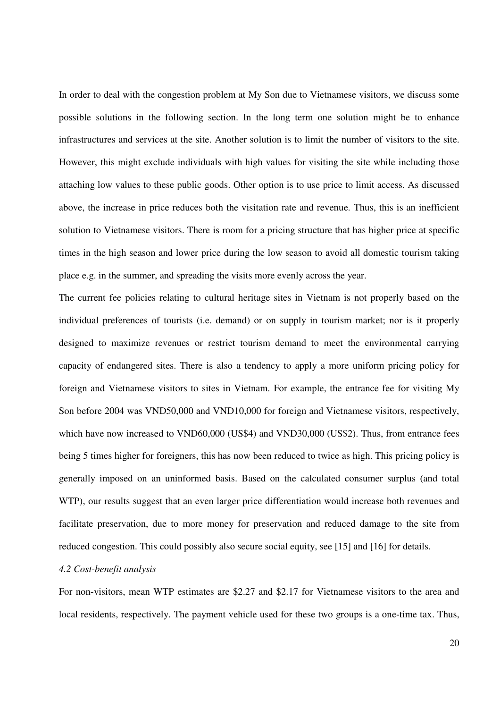In order to deal with the congestion problem at My Son due to Vietnamese visitors, we discuss some possible solutions in the following section. In the long term one solution might be to enhance infrastructures and services at the site. Another solution is to limit the number of visitors to the site. However, this might exclude individuals with high values for visiting the site while including those attaching low values to these public goods. Other option is to use price to limit access. As discussed above, the increase in price reduces both the visitation rate and revenue. Thus, this is an inefficient solution to Vietnamese visitors. There is room for a pricing structure that has higher price at specific times in the high season and lower price during the low season to avoid all domestic tourism taking place e.g. in the summer, and spreading the visits more evenly across the year.

The current fee policies relating to cultural heritage sites in Vietnam is not properly based on the individual preferences of tourists (i.e. demand) or on supply in tourism market; nor is it properly designed to maximize revenues or restrict tourism demand to meet the environmental carrying capacity of endangered sites. There is also a tendency to apply a more uniform pricing policy for foreign and Vietnamese visitors to sites in Vietnam. For example, the entrance fee for visiting My Son before 2004 was VND50,000 and VND10,000 for foreign and Vietnamese visitors, respectively, which have now increased to VND60,000 (US\$4) and VND30,000 (US\$2). Thus, from entrance fees being 5 times higher for foreigners, this has now been reduced to twice as high. This pricing policy is generally imposed on an uninformed basis. Based on the calculated consumer surplus (and total WTP), our results suggest that an even larger price differentiation would increase both revenues and facilitate preservation, due to more money for preservation and reduced damage to the site from reduced congestion. This could possibly also secure social equity, see [15] and [16] for details.

### *4.2 Cost-benefit analysis*

For non-visitors, mean WTP estimates are \$2.27 and \$2.17 for Vietnamese visitors to the area and local residents, respectively. The payment vehicle used for these two groups is a one-time tax. Thus,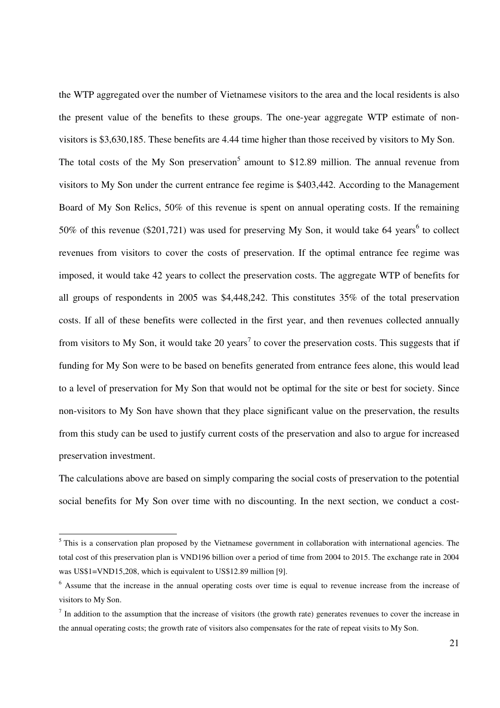the WTP aggregated over the number of Vietnamese visitors to the area and the local residents is also the present value of the benefits to these groups. The one-year aggregate WTP estimate of nonvisitors is \$3,630,185. These benefits are 4.44 time higher than those received by visitors to My Son. The total costs of the My Son preservation<sup>5</sup> amount to \$12.89 million. The annual revenue from visitors to My Son under the current entrance fee regime is \$403,442. According to the Management Board of My Son Relics, 50% of this revenue is spent on annual operating costs. If the remaining 50% of this revenue (\$201,721) was used for preserving My Son, it would take 64 years<sup>6</sup> to collect revenues from visitors to cover the costs of preservation. If the optimal entrance fee regime was imposed, it would take 42 years to collect the preservation costs. The aggregate WTP of benefits for all groups of respondents in 2005 was \$4,448,242. This constitutes 35% of the total preservation costs. If all of these benefits were collected in the first year, and then revenues collected annually from visitors to My Son, it would take 20 years<sup>7</sup> to cover the preservation costs. This suggests that if funding for My Son were to be based on benefits generated from entrance fees alone, this would lead to a level of preservation for My Son that would not be optimal for the site or best for society. Since non-visitors to My Son have shown that they place significant value on the preservation, the results from this study can be used to justify current costs of the preservation and also to argue for increased preservation investment.

The calculations above are based on simply comparing the social costs of preservation to the potential social benefits for My Son over time with no discounting. In the next section, we conduct a cost-

-

 $<sup>5</sup>$  This is a conservation plan proposed by the Vietnamese government in collaboration with international agencies. The</sup> total cost of this preservation plan is VND196 billion over a period of time from 2004 to 2015. The exchange rate in 2004 was US\$1=VND15,208, which is equivalent to US\$12.89 million [9].

<sup>&</sup>lt;sup>6</sup> Assume that the increase in the annual operating costs over time is equal to revenue increase from the increase of visitors to My Son.

 $<sup>7</sup>$  In addition to the assumption that the increase of visitors (the growth rate) generates revenues to cover the increase in</sup> the annual operating costs; the growth rate of visitors also compensates for the rate of repeat visits to My Son.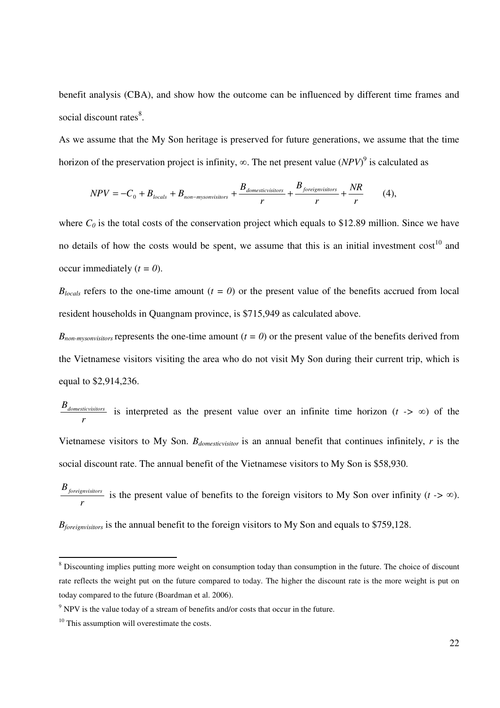benefit analysis (CBA), and show how the outcome can be influenced by different time frames and social discount rates<sup>8</sup>.

As we assume that the My Son heritage is preserved for future generations, we assume that the time horizon of the preservation project is infinity,  $\infty$ . The net present value (*NPV*)<sup>9</sup> is calculated as

$$
NPV = -C_0 + B_{locals} + B_{non-mysonvisitors} + \frac{B_{domestivisions}}{r} + \frac{B_{foreignvisitors}}{r} + \frac{NR}{r}
$$
 (4),

where  $C_0$  is the total costs of the conservation project which equals to \$12.89 million. Since we have no details of how the costs would be spent, we assume that this is an initial investment  $cost<sup>10</sup>$  and occur immediately  $(t = 0)$ .

 $B_{locals}$  refers to the one-time amount ( $t = 0$ ) or the present value of the benefits accrued from local resident households in Quangnam province, is \$715,949 as calculated above.

 $B_{non-mysomvisitors}$  represents the one-time amount ( $t = 0$ ) or the present value of the benefits derived from the Vietnamese visitors visiting the area who do not visit My Son during their current trip, which is equal to \$2,914,236.

*r <sup>B</sup>domesticvisitors* is interpreted as the present value over an infinite time horizon (*t ->* ∞) of the Vietnamese visitors to My Son. *Bdomesticvisitor* is an annual benefit that continues infinitely, *r* is the social discount rate. The annual benefit of the Vietnamese visitors to My Son is \$58,930.

*r <sup>B</sup>foreignvisitors* is the present value of benefits to the foreign visitors to My Son over infinity (*t ->* ∞).

*Bforeignvisitors* is the annual benefit to the foreign visitors to My Son and equals to \$759,128.

<sup>&</sup>lt;sup>8</sup> Discounting implies putting more weight on consumption today than consumption in the future. The choice of discount rate reflects the weight put on the future compared to today. The higher the discount rate is the more weight is put on today compared to the future (Boardman et al. 2006).

 $9$  NPV is the value today of a stream of benefits and/or costs that occur in the future.

 $10$  This assumption will overestimate the costs.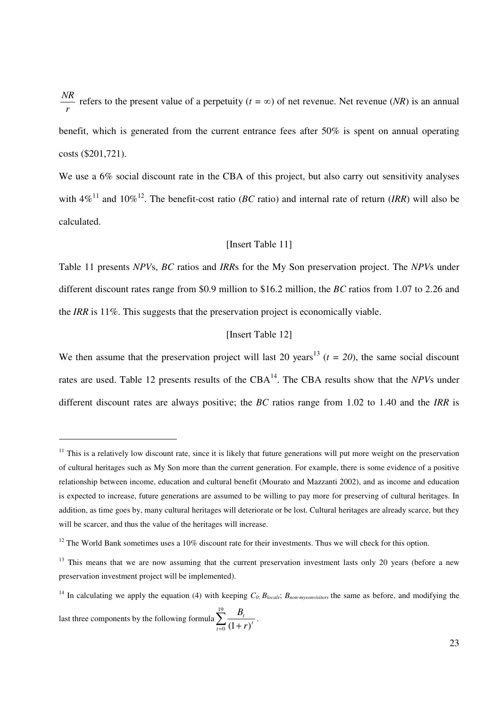*r NR* refers to the present value of a perpetuity ( $t = \infty$ ) of net revenue. Net revenue (*NR*) is an annual benefit, which is generated from the current entrance fees after 50% is spent on annual operating costs (\$201,721).

We use a 6% social discount rate in the CBA of this project, but also carry out sensitivity analyses with  $4\%$ <sup>11</sup> and  $10\%$ <sup>12</sup>. The benefit-cost ratio (*BC* ratio) and internal rate of return (*IRR*) will also be calculated.

## [Insert Table 11]

Table 11 presents *NPV*s, *BC* ratios and *IRR*s for the My Son preservation project. The *NPV*s under different discount rates range from \$0.9 million to \$16.2 million, the *BC* ratios from 1.07 to 2.26 and the *IRR* is 11%. This suggests that the preservation project is economically viable.

#### [Insert Table 12]

We then assume that the preservation project will last 20 years<sup>13</sup> ( $t = 20$ ), the same social discount rates are used. Table 12 presents results of the CBA<sup>14</sup>. The CBA results show that the *NPVs* under different discount rates are always positive; the *BC* ratios range from 1.02 to 1.40 and the *IRR* is

-

<sup>&</sup>lt;sup>11</sup> This is a relatively low discount rate, since it is likely that future generations will put more weight on the preservation of cultural heritages such as My Son more than the current generation. For example, there is some evidence of a positive relationship between income, education and cultural benefit (Mourato and Mazzanti 2002), and as income and education is expected to increase, future generations are assumed to be willing to pay more for preserving of cultural heritages. In addition, as time goes by, many cultural heritages will deteriorate or be lost. Cultural heritages are already scarce, but they will be scarcer, and thus the value of the heritages will increase.

 $12$  The World Bank sometimes uses a 10% discount rate for their investments. Thus we will check for this option.

<sup>&</sup>lt;sup>13</sup> This means that we are now assuming that the current preservation investment lasts only 20 years (before a new preservation investment project will be implemented).

<sup>&</sup>lt;sup>14</sup> In calculating we apply the equation (4) with keeping  $C_0$ ,  $B_{locals}$ ;  $B_{non-mysomisions}$  the same as before, and modifying the last three components by the following formula $\sum$  $\frac{1}{x-0}$  (1+ 19  $\sum_{t=0}^{l} (1+r)^{t}$ *t r*  $\frac{B_t}{\cdots}$ .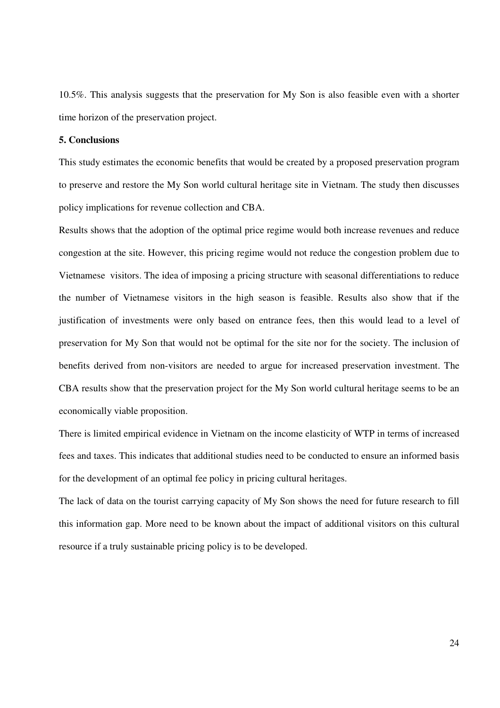10.5%. This analysis suggests that the preservation for My Son is also feasible even with a shorter time horizon of the preservation project.

## **5. Conclusions**

This study estimates the economic benefits that would be created by a proposed preservation program to preserve and restore the My Son world cultural heritage site in Vietnam. The study then discusses policy implications for revenue collection and CBA.

Results shows that the adoption of the optimal price regime would both increase revenues and reduce congestion at the site. However, this pricing regime would not reduce the congestion problem due to Vietnamese visitors. The idea of imposing a pricing structure with seasonal differentiations to reduce the number of Vietnamese visitors in the high season is feasible. Results also show that if the justification of investments were only based on entrance fees, then this would lead to a level of preservation for My Son that would not be optimal for the site nor for the society. The inclusion of benefits derived from non-visitors are needed to argue for increased preservation investment. The CBA results show that the preservation project for the My Son world cultural heritage seems to be an economically viable proposition.

There is limited empirical evidence in Vietnam on the income elasticity of WTP in terms of increased fees and taxes. This indicates that additional studies need to be conducted to ensure an informed basis for the development of an optimal fee policy in pricing cultural heritages.

The lack of data on the tourist carrying capacity of My Son shows the need for future research to fill this information gap. More need to be known about the impact of additional visitors on this cultural resource if a truly sustainable pricing policy is to be developed.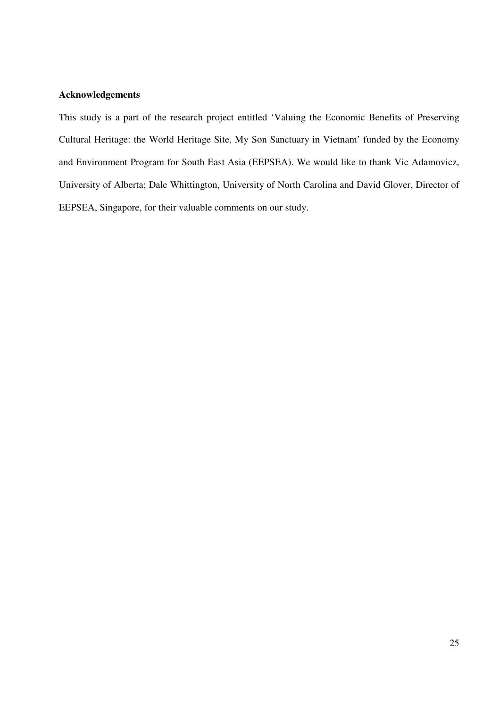## **Acknowledgements**

This study is a part of the research project entitled 'Valuing the Economic Benefits of Preserving Cultural Heritage: the World Heritage Site, My Son Sanctuary in Vietnam' funded by the Economy and Environment Program for South East Asia (EEPSEA). We would like to thank Vic Adamovicz, University of Alberta; Dale Whittington, University of North Carolina and David Glover, Director of EEPSEA, Singapore, for their valuable comments on our study.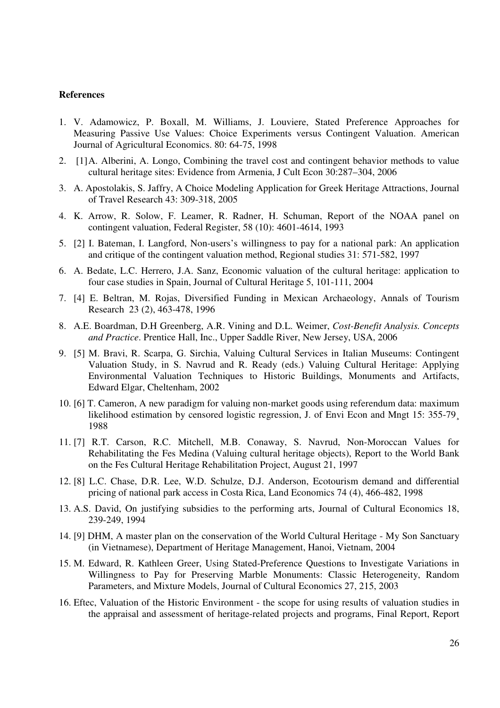#### **References**

- 1. V. Adamowicz, P. Boxall, M. Williams, J. Louviere, Stated Preference Approaches for Measuring Passive Use Values: Choice Experiments versus Contingent Valuation. American Journal of Agricultural Economics. 80: 64-75, 1998
- 2. [1] A. Alberini, A. Longo, Combining the travel cost and contingent behavior methods to value cultural heritage sites: Evidence from Armenia, J Cult Econ 30:287–304, 2006
- 3. A. Apostolakis, S. Jaffry, A Choice Modeling Application for Greek Heritage Attractions, Journal of Travel Research 43: 309-318, 2005
- 4. K. Arrow, R. Solow, F. Leamer, R. Radner, H. Schuman, Report of the NOAA panel on contingent valuation, Federal Register, 58 (10): 4601-4614, 1993
- 5. [2] I. Bateman, I. Langford, Non-users's willingness to pay for a national park: An application and critique of the contingent valuation method, Regional studies 31: 571-582, 1997
- 6. A. Bedate, L.C. Herrero, J.A. Sanz, Economic valuation of the cultural heritage: application to four case studies in Spain, Journal of Cultural Heritage 5, 101-111, 2004
- 7. [4] E. Beltran, M. Rojas, Diversified Funding in Mexican Archaeology, Annals of Tourism Research 23 (2), 463-478, 1996
- 8. A.E. Boardman, D.H Greenberg, A.R. Vining and D.L. Weimer, *Cost-Benefit Analysis. Concepts and Practice*. Prentice Hall, Inc., Upper Saddle River, New Jersey, USA, 2006
- 9. [5] M. Bravi, R. Scarpa, G. Sirchia, Valuing Cultural Services in Italian Museums: Contingent Valuation Study, in S. Navrud and R. Ready (eds.) Valuing Cultural Heritage: Applying Environmental Valuation Techniques to Historic Buildings, Monuments and Artifacts, Edward Elgar, Cheltenham, 2002
- 10. [6] T. Cameron, A new paradigm for valuing non-market goods using referendum data: maximum likelihood estimation by censored logistic regression, J. of Envi Econ and Mngt 15: 355-79¸ 1988
- 11. [7] R.T. Carson, R.C. Mitchell, M.B. Conaway, S. Navrud, Non-Moroccan Values for Rehabilitating the Fes Medina (Valuing cultural heritage objects), Report to the World Bank on the Fes Cultural Heritage Rehabilitation Project, August 21, 1997
- 12. [8] L.C. Chase, D.R. Lee, W.D. Schulze, D.J. Anderson, Ecotourism demand and differential pricing of national park access in Costa Rica, Land Economics 74 (4), 466-482, 1998
- 13. A.S. David, On justifying subsidies to the performing arts, Journal of Cultural Economics 18, 239-249, 1994
- 14. [9] DHM, A master plan on the conservation of the World Cultural Heritage My Son Sanctuary (in Vietnamese), Department of Heritage Management, Hanoi, Vietnam, 2004
- 15. M. Edward, R. Kathleen Greer, Using Stated-Preference Questions to Investigate Variations in Willingness to Pay for Preserving Marble Monuments: Classic Heterogeneity, Random Parameters, and Mixture Models, Journal of Cultural Economics 27, 215, 2003
- 16. Eftec, Valuation of the Historic Environment the scope for using results of valuation studies in the appraisal and assessment of heritage-related projects and programs, Final Report, Report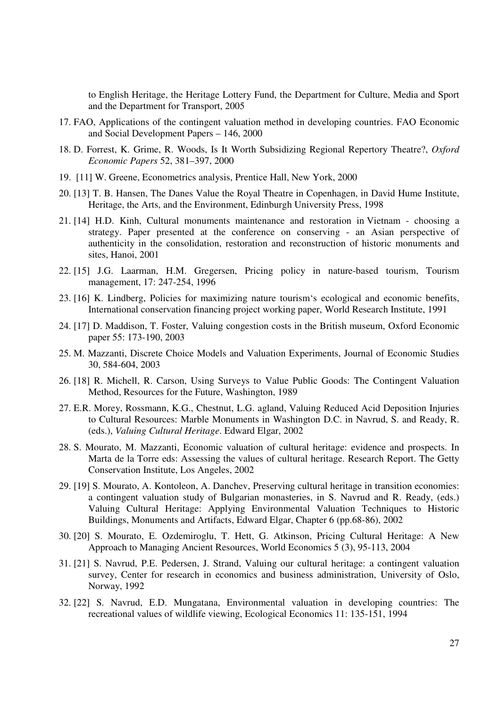to English Heritage, the Heritage Lottery Fund, the Department for Culture, Media and Sport and the Department for Transport, 2005

- 17. FAO, Applications of the contingent valuation method in developing countries. FAO Economic and Social Development Papers – 146, 2000
- 18. D. Forrest, K. Grime, R. Woods, Is It Worth Subsidizing Regional Repertory Theatre?, *Oxford Economic Papers* 52, 381–397, 2000
- 19. [11] W. Greene, Econometrics analysis, Prentice Hall, New York, 2000
- 20. [13] T. B. Hansen, The Danes Value the Royal Theatre in Copenhagen, in David Hume Institute, Heritage, the Arts, and the Environment, Edinburgh University Press, 1998
- 21. [14] H.D. Kinh, Cultural monuments maintenance and restoration in Vietnam choosing a strategy. Paper presented at the conference on conserving - an Asian perspective of authenticity in the consolidation, restoration and reconstruction of historic monuments and sites, Hanoi, 2001
- 22. [15] J.G. Laarman, H.M. Gregersen, Pricing policy in nature-based tourism, Tourism management, 17: 247-254, 1996
- 23. [16] K. Lindberg, Policies for maximizing nature tourism's ecological and economic benefits, International conservation financing project working paper, World Research Institute, 1991
- 24. [17] D. Maddison, T. Foster, Valuing congestion costs in the British museum, Oxford Economic paper 55: 173-190, 2003
- 25. M. Mazzanti, Discrete Choice Models and Valuation Experiments, Journal of Economic Studies 30, 584-604, 2003
- 26. [18] R. Michell, R. Carson, Using Surveys to Value Public Goods: The Contingent Valuation Method, Resources for the Future, Washington, 1989
- 27. E.R. Morey, Rossmann, K.G., Chestnut, L.G. agland, Valuing Reduced Acid Deposition Injuries to Cultural Resources: Marble Monuments in Washington D.C. in Navrud, S. and Ready, R. (eds.), *Valuing Cultural Heritage*. Edward Elgar, 2002
- 28. S. Mourato, M. Mazzanti, Economic valuation of cultural heritage: evidence and prospects. In Marta de la Torre eds: Assessing the values of cultural heritage. Research Report. The Getty Conservation Institute, Los Angeles, 2002
- 29. [19] S. Mourato, A. Kontoleon, A. Danchev, Preserving cultural heritage in transition economies: a contingent valuation study of Bulgarian monasteries, in S. Navrud and R. Ready, (eds.) Valuing Cultural Heritage: Applying Environmental Valuation Techniques to Historic Buildings, Monuments and Artifacts, Edward Elgar, Chapter 6 (pp.68-86), 2002
- 30. [20] S. Mourato, E. Ozdemiroglu, T. Hett, G. Atkinson, Pricing Cultural Heritage: A New Approach to Managing Ancient Resources, World Economics 5 (3), 95-113, 2004
- 31. [21] S. Navrud, P.E. Pedersen, J. Strand, Valuing our cultural heritage: a contingent valuation survey, Center for research in economics and business administration, University of Oslo, Norway, 1992
- 32. [22] S. Navrud, E.D. Mungatana, Environmental valuation in developing countries: The recreational values of wildlife viewing, Ecological Economics 11: 135-151, 1994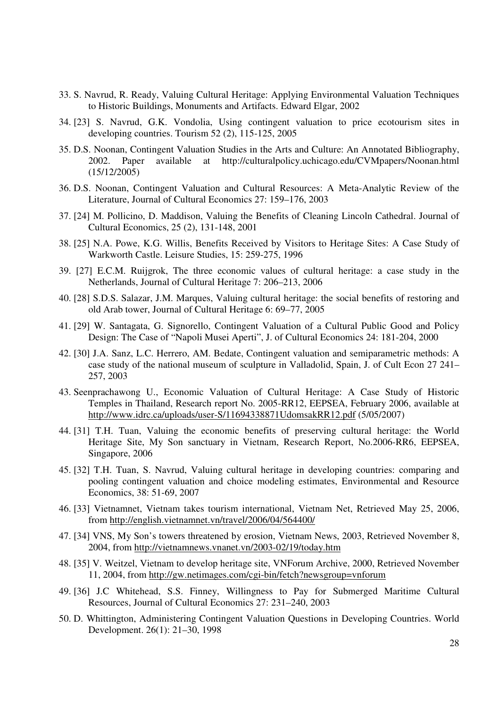- 33. S. Navrud, R. Ready, Valuing Cultural Heritage: Applying Environmental Valuation Techniques to Historic Buildings, Monuments and Artifacts. Edward Elgar, 2002
- 34. [23] S. Navrud, G.K. Vondolia, Using contingent valuation to price ecotourism sites in developing countries. Tourism 52 (2), 115-125, 2005
- 35. D.S. Noonan, Contingent Valuation Studies in the Arts and Culture: An Annotated Bibliography, 2002. Paper available at http://culturalpolicy.uchicago.edu/CVMpapers/Noonan.html (15/12/2005)
- 36. D.S. Noonan, Contingent Valuation and Cultural Resources: A Meta-Analytic Review of the Literature, Journal of Cultural Economics 27: 159–176, 2003
- 37. [24] M. Pollicino, D. Maddison, Valuing the Benefits of Cleaning Lincoln Cathedral. Journal of Cultural Economics, 25 (2), 131-148, 2001
- 38. [25] N.A. Powe, K.G. Willis, Benefits Received by Visitors to Heritage Sites: A Case Study of Warkworth Castle. Leisure Studies, 15: 259-275, 1996
- 39. [27] E.C.M. Ruijgrok, The three economic values of cultural heritage: a case study in the Netherlands, Journal of Cultural Heritage 7: 206–213, 2006
- 40. [28] S.D.S. Salazar, J.M. Marques, Valuing cultural heritage: the social benefits of restoring and old Arab tower, Journal of Cultural Heritage 6: 69–77, 2005
- 41. [29] W. Santagata, G. Signorello, Contingent Valuation of a Cultural Public Good and Policy Design: The Case of "Napoli Musei Aperti", J. of Cultural Economics 24: 181-204, 2000
- 42. [30] J.A. Sanz, L.C. Herrero, AM. Bedate, Contingent valuation and semiparametric methods: A case study of the national museum of sculpture in Valladolid, Spain, J. of Cult Econ 27 241– 257, 2003
- 43. Seenprachawong U., Economic Valuation of Cultural Heritage: A Case Study of Historic Temples in Thailand, Research report No. 2005-RR12, EEPSEA, February 2006, available at http://www.idrc.ca/uploads/user-S/11694338871UdomsakRR12.pdf (5/05/2007)
- 44. [31] T.H. Tuan, Valuing the economic benefits of preserving cultural heritage: the World Heritage Site, My Son sanctuary in Vietnam, Research Report, No.2006-RR6, EEPSEA, Singapore, 2006
- 45. [32] T.H. Tuan, S. Navrud, Valuing cultural heritage in developing countries: comparing and pooling contingent valuation and choice modeling estimates, Environmental and Resource Economics, 38: 51-69, 2007
- 46. [33] Vietnamnet, Vietnam takes tourism international, Vietnam Net, Retrieved May 25, 2006, from http://english.vietnamnet.vn/travel/2006/04/564400/
- 47. [34] VNS, My Son's towers threatened by erosion, Vietnam News, 2003, Retrieved November 8, 2004, from http://vietnamnews.vnanet.vn/2003-02/19/today.htm
- 48. [35] V. Weitzel, Vietnam to develop heritage site, VNForum Archive, 2000, Retrieved November 11, 2004, from http://gw.netimages.com/cgi-bin/fetch?newsgroup=vnforum
- 49. [36] J.C Whitehead, S.S. Finney, Willingness to Pay for Submerged Maritime Cultural Resources, Journal of Cultural Economics 27: 231–240, 2003
- 50. D. Whittington, Administering Contingent Valuation Questions in Developing Countries. World Development. 26(1): 21–30, 1998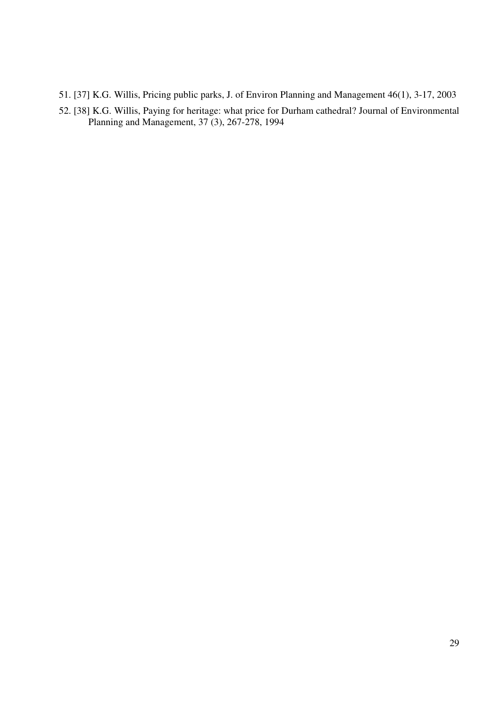- 51. [37] K.G. Willis, Pricing public parks, J. of Environ Planning and Management 46(1), 3-17, 2003
- 52. [38] K.G. Willis, Paying for heritage: what price for Durham cathedral? Journal of Environmental Planning and Management, 37 (3), 267-278, 1994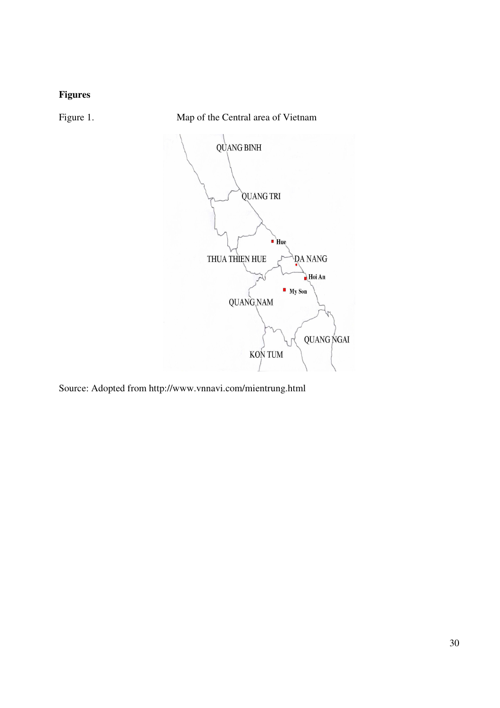

**Figures** 

# Source: Adopted from http://www.vnnavi.com/mientrung.html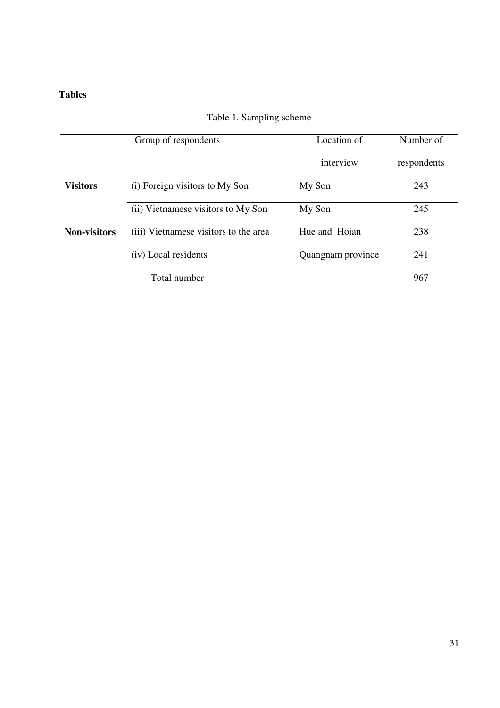## **Tables**

## Table 1. Sampling scheme

|                     | Group of respondents                  | Location of       | Number of   |
|---------------------|---------------------------------------|-------------------|-------------|
|                     |                                       | interview         | respondents |
| <b>Visitors</b>     | (i) Foreign visitors to My Son        | My Son            | 243         |
|                     | (ii) Vietnamese visitors to My Son    | My Son            | 245         |
| <b>Non-visitors</b> | (iii) Vietnamese visitors to the area | Hue and Hoian     | 238         |
|                     | (iv) Local residents                  | Quangnam province | 241         |
|                     | Total number                          |                   | 967         |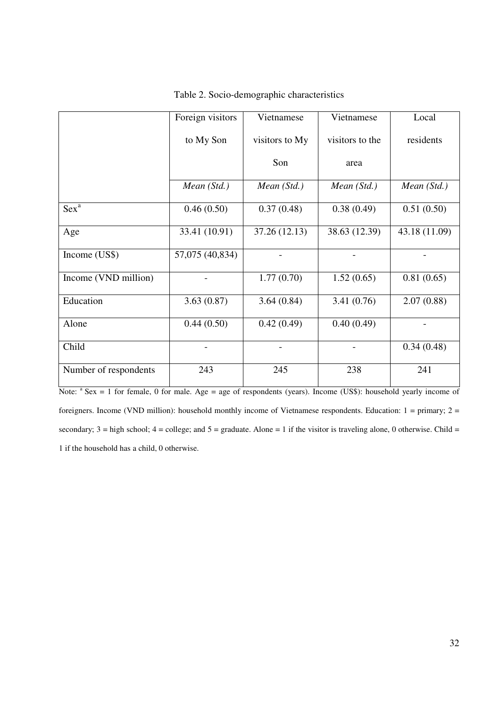|                       | Foreign visitors | Vietnamese     | Vietnamese      | Local         |
|-----------------------|------------------|----------------|-----------------|---------------|
|                       | to My Son        | visitors to My | visitors to the | residents     |
|                       |                  | Son            | area            |               |
|                       | Mean (Std.)      | Mean (Std.)    | Mean (Std.)     | Mean $(Std.)$ |
| $Sex^a$               | 0.46(0.50)       | 0.37(0.48)     | 0.38(0.49)      | 0.51(0.50)    |
| Age                   | 33.41 (10.91)    | 37.26 (12.13)  | 38.63 (12.39)   | 43.18 (11.09) |
| Income (US\$)         | 57,075 (40,834)  |                |                 |               |
| Income (VND million)  |                  | 1.77(0.70)     | 1.52(0.65)      | 0.81(0.65)    |
| Education             | 3.63(0.87)       | 3.64(0.84)     | 3.41(0.76)      | 2.07(0.88)    |
| Alone                 | 0.44(0.50)       | 0.42(0.49)     | 0.40(0.49)      |               |
| Child                 |                  |                |                 | 0.34(0.48)    |
| Number of respondents | 243              | 245            | 238             | 241           |

Table 2. Socio-demographic characteristics

Note:  $a^3$  Sex = 1 for female, 0 for male. Age = age of respondents (years). Income (US\$): household yearly income of foreigners. Income (VND million): household monthly income of Vietnamese respondents. Education:  $1 = \text{primary}; 2 =$ secondary;  $3 =$  high school;  $4 =$  college; and  $5 =$  graduate. Alone = 1 if the visitor is traveling alone, 0 otherwise. Child = 1 if the household has a child, 0 otherwise.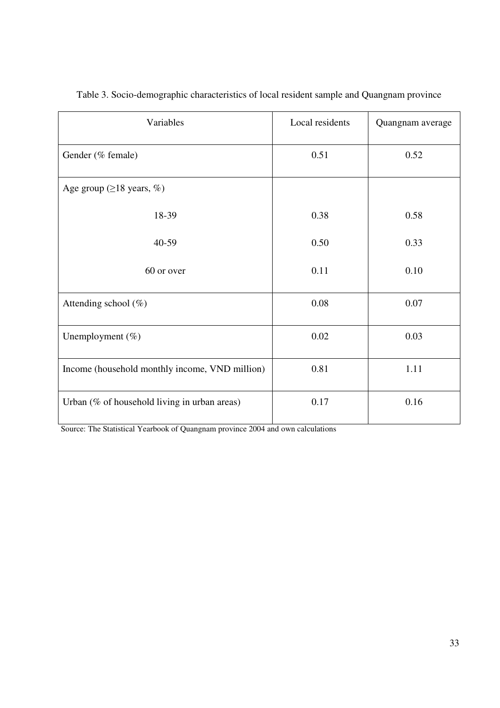| Variables                                      | Local residents | Quangnam average |
|------------------------------------------------|-----------------|------------------|
| Gender (% female)                              | 0.51            | 0.52             |
| Age group ( $\geq$ 18 years, %)                |                 |                  |
| 18-39                                          | 0.38            | 0.58             |
| 40-59                                          | 0.50            | 0.33             |
| 60 or over                                     | 0.11            | 0.10             |
| Attending school $(\%)$                        | 0.08            | 0.07             |
| Unemployment (%)                               | 0.02            | 0.03             |
| Income (household monthly income, VND million) | 0.81            | 1.11             |
| Urban (% of household living in urban areas)   | 0.17            | 0.16             |

## Table 3. Socio-demographic characteristics of local resident sample and Quangnam province

Source: The Statistical Yearbook of Quangnam province 2004 and own calculations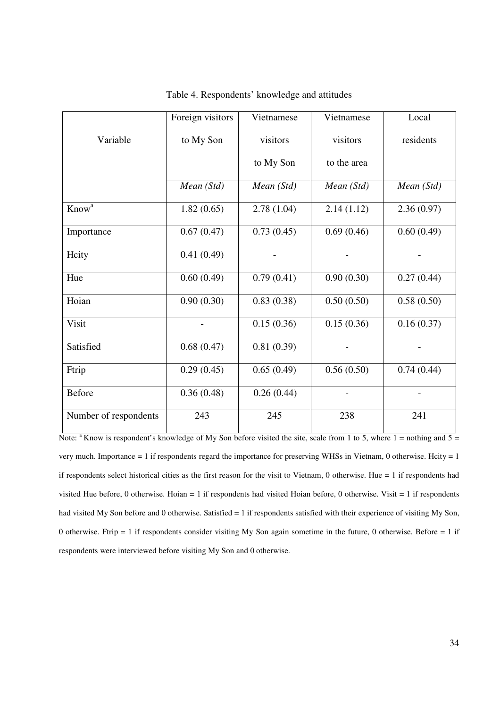|                       | Foreign visitors | Vietnamese | Vietnamese  | Local      |
|-----------------------|------------------|------------|-------------|------------|
| Variable              | to My Son        | visitors   | visitors    | residents  |
|                       |                  | to My Son  | to the area |            |
|                       | Mean (Std)       | Mean (Std) | Mean (Std)  | Mean (Std) |
| Know <sup>a</sup>     | 1.82(0.65)       | 2.78(1.04) | 2.14(1.12)  | 2.36(0.97) |
| Importance            | 0.67(0.47)       | 0.73(0.45) | 0.69(0.46)  | 0.60(0.49) |
| Heity                 | 0.41(0.49)       |            |             |            |
| Hue                   | 0.60(0.49)       | 0.79(0.41) | 0.90(0.30)  | 0.27(0.44) |
| Hoian                 | 0.90(0.30)       | 0.83(0.38) | 0.50(0.50)  | 0.58(0.50) |
| Visit                 |                  | 0.15(0.36) | 0.15(0.36)  | 0.16(0.37) |
| Satisfied             | 0.68(0.47)       | 0.81(0.39) |             |            |
| Ftrip                 | 0.29(0.45)       | 0.65(0.49) | 0.56(0.50)  | 0.74(0.44) |
| <b>Before</b>         | 0.36(0.48)       | 0.26(0.44) |             |            |
| Number of respondents | 243              | 245        | 238         | 241        |

Table 4. Respondents' knowledge and attitudes

Note:  $^{\circ}$  Know is respondent's knowledge of My Son before visited the site, scale from 1 to 5, where 1 = nothing and 5 = very much. Importance  $= 1$  if respondents regard the importance for preserving WHSs in Vietnam, 0 otherwise. Hcity  $= 1$ if respondents select historical cities as the first reason for the visit to Vietnam, 0 otherwise. Hue = 1 if respondents had visited Hue before, 0 otherwise. Hoian = 1 if respondents had visited Hoian before, 0 otherwise. Visit = 1 if respondents had visited My Son before and 0 otherwise. Satisfied = 1 if respondents satisfied with their experience of visiting My Son, 0 otherwise. Ftrip = 1 if respondents consider visiting My Son again sometime in the future, 0 otherwise. Before = 1 if respondents were interviewed before visiting My Son and 0 otherwise.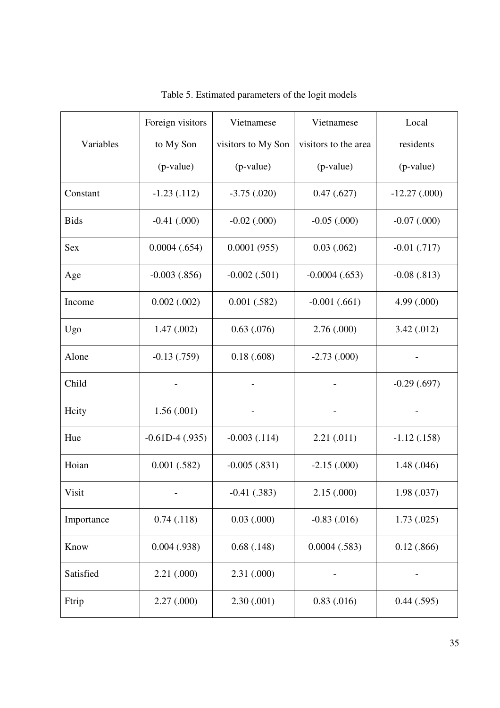|             | Foreign visitors | Vietnamese         | Vietnamese           | Local            |
|-------------|------------------|--------------------|----------------------|------------------|
| Variables   | to My Son        | visitors to My Son | visitors to the area | residents        |
|             | (p-value)        | (p-value)          | (p-value)            | (p-value)        |
| Constant    | $-1.23(0.112)$   | $-3.75(.020)$      | 0.47(0.627)          | $-12.27(000)$    |
| <b>Bids</b> | $-0.41$ $(.000)$ | $-0.02$ $(.000)$   | $-0.05$ $(.000)$     | $-0.07$ $(.000)$ |
| Sex         | 0.0004(.654)     | 0.0001(955)        | 0.03(0.062)          | $-0.01$ (.717)   |
| Age         | $-0.003(.856)$   | $-0.002$ (.501)    | $-0.0004(.653)$      | $-0.08(.813)$    |
| Income      | 0.002(.002)      | 0.001(.582)        | $-0.001$ $(.661)$    | 4.99 (.000)      |
| Ugo         | 1.47(002)        | 0.63(0.076)        | 2.76(.000)           | 3.42(.012)       |
| Alone       | $-0.13(0.759)$   | 0.18(.608)         | $-2.73(0.000)$       |                  |
| Child       |                  |                    |                      | $-0.29$ $(.697)$ |
| Heity       | 1.56(.001)       |                    |                      |                  |
| Hue         | $-0.61D-4(.935)$ | $-0.003$ $(.114)$  | 2.21(.011)           | $-1.12(0.158)$   |
| Hoian       | 0.001(.582)      | $-0.005(.831)$     | $-2.15(.000)$        | 1.48(.046)       |
| Visit       |                  | $-0.41$ $(.383)$   | 2.15(.000)           | 1.98(.037)       |
| Importance  | $0.74$ $(.118)$  | 0.03(0.000)        | $-0.83$ $(.016)$     | 1.73(0.025)      |
| Know        | 0.004(0.938)     | 0.68(.148)         | 0.0004(.583)         | 0.12(.866)       |
| Satisfied   | 2.21(.000)       | 2.31(.000)         |                      |                  |
| Ftrip       | 2.27(.000)       | 2.30(0.001)        | 0.83(0.016)          | 0.44(.595)       |

Table 5. Estimated parameters of the logit models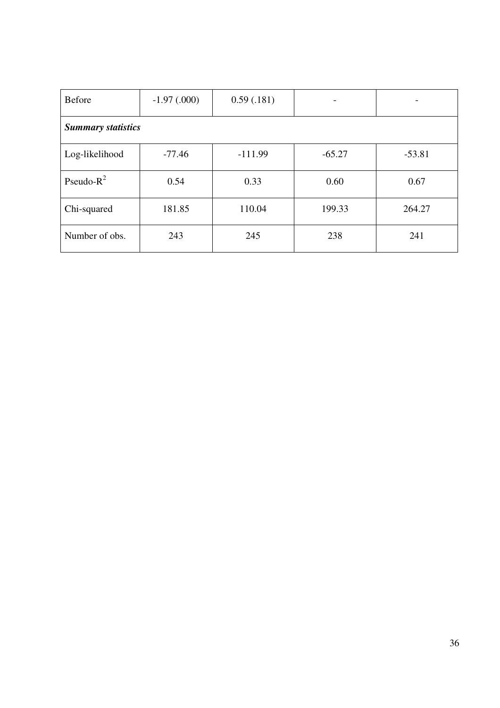| <b>Before</b>             | $-1.97(0.00)$ | 0.59(0.181) |          |          |
|---------------------------|---------------|-------------|----------|----------|
| <b>Summary statistics</b> |               |             |          |          |
| Log-likelihood            | $-77.46$      | $-111.99$   | $-65.27$ | $-53.81$ |
| Pseudo- $R^2$             | 0.54          | 0.33        | 0.60     | 0.67     |
| Chi-squared               | 181.85        | 110.04      | 199.33   | 264.27   |
| Number of obs.            | 243           | 245         | 238      | 241      |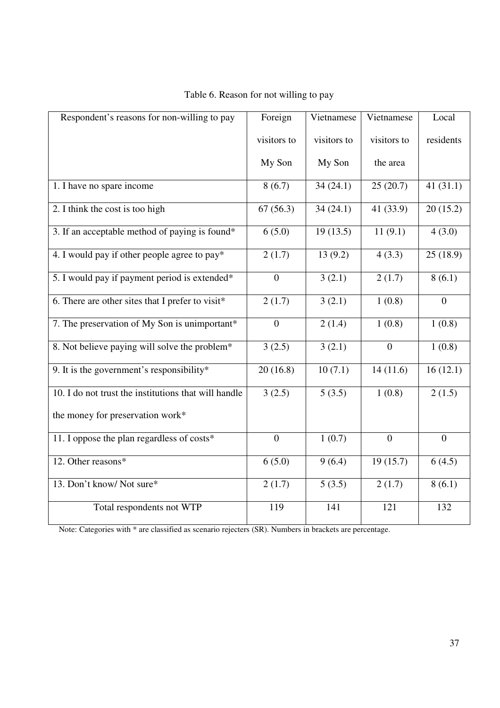| Respondent's reasons for non-willing to pay          | Foreign             | Vietnamese  | Vietnamese     | Local               |
|------------------------------------------------------|---------------------|-------------|----------------|---------------------|
|                                                      | visitors to         | visitors to | visitors to    | residents           |
|                                                      | My Son              | My Son      | the area       |                     |
| 1. I have no spare income                            | 8(6.7)              | 34(24.1)    | 25(20.7)       | 41 $(31.1)$         |
| 2. I think the cost is too high                      | 67(56.3)            | 34(24.1)    | 41 (33.9)      | 20(15.2)            |
| 3. If an acceptable method of paying is found*       | 6(5.0)              | 19(13.5)    | 11(9.1)        | 4(3.0)              |
| 4. I would pay if other people agree to pay*         | 2(1.7)              | 13(9.2)     | 4(3.3)         | 25(18.9)            |
| 5. I would pay if payment period is extended*        | $\boldsymbol{0}$    | 3(2.1)      | 2(1.7)         | 8(6.1)              |
| 6. There are other sites that I prefer to visit*     | 2(1.7)              | 3(2.1)      | 1(0.8)         | $\mathbf{0}$        |
| 7. The preservation of My Son is unimportant*        | $\boldsymbol{0}$    | 2(1.4)      | 1(0.8)         | 1(0.8)              |
| 8. Not believe paying will solve the problem*        | 3(2.5)              | 3(2.1)      | $\overline{0}$ | 1(0.8)              |
| 9. It is the government's responsibility*            | 20(16.8)            | 10(7.1)     | 14(11.6)       | 16(12.1)            |
| 10. I do not trust the institutions that will handle | 3(2.5)              | 5(3.5)      | 1(0.8)         | 2(1.5)              |
| the money for preservation work*                     |                     |             |                |                     |
| 11. I oppose the plan regardless of costs*           | $\boldsymbol{0}$    | 1(0.7)      | $\mathbf{0}$   | $\boldsymbol{0}$    |
| 12. Other reasons*                                   | $\overline{6(5.0)}$ | 9(6.4)      | 19(15.7)       | $\overline{6(4.5)}$ |
| 13. Don't know/ Not sure*                            | 2(1.7)              | 5(3.5)      | 2(1.7)         | 8(6.1)              |
| Total respondents not WTP                            | 119                 | 141         | 121            | 132                 |

Table 6. Reason for not willing to pay

Note: Categories with \* are classified as scenario rejecters (SR). Numbers in brackets are percentage.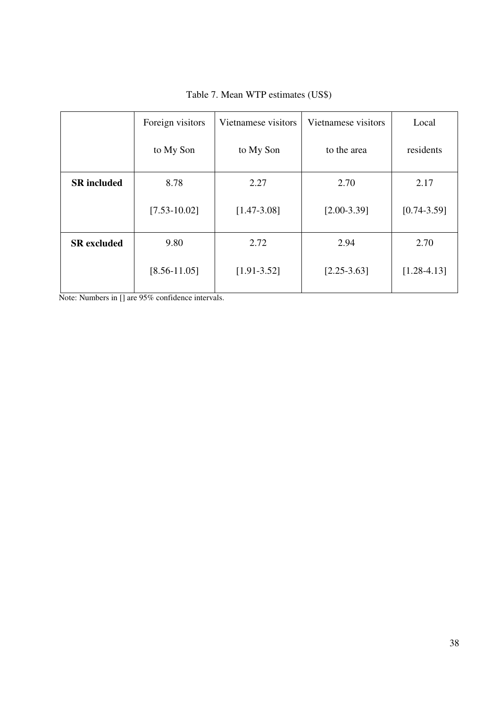|                    | Foreign visitors | Vietnamese visitors | Vietnamese visitors | Local           |
|--------------------|------------------|---------------------|---------------------|-----------------|
|                    | to My Son        | to My Son           | to the area         | residents       |
| <b>SR</b> included | 8.78             | 2.27                | 2.70                | 2.17            |
|                    | $[7.53 - 10.02]$ | $[1.47 - 3.08]$     | $[2.00-3.39]$       | $[0.74 - 3.59]$ |
| <b>SR</b> excluded | 9.80             | 2.72                | 2.94                | 2.70            |
|                    | $[8.56 - 11.05]$ | $[1.91 - 3.52]$     | $[2.25 - 3.63]$     | $[1.28 - 4.13]$ |

Table 7. Mean WTP estimates (US\$)

Note: Numbers in [] are 95% confidence intervals.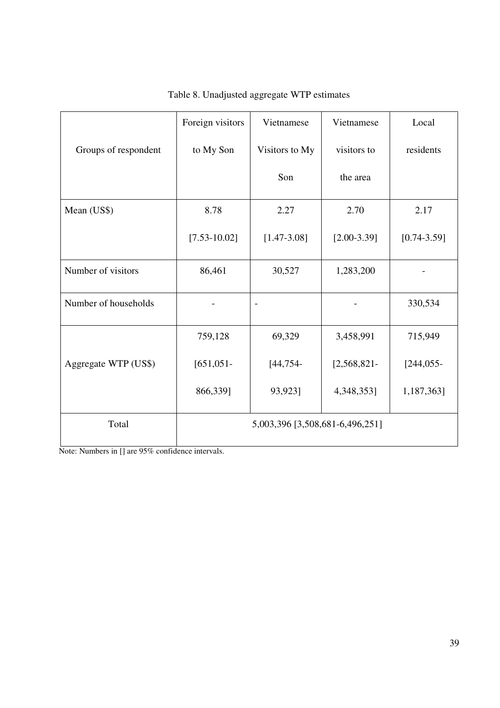|                      | Foreign visitors | Vietnamese                      | Vietnamese    | Local           |
|----------------------|------------------|---------------------------------|---------------|-----------------|
| Groups of respondent | to My Son        | Visitors to My                  | visitors to   | residents       |
|                      |                  | Son                             | the area      |                 |
| Mean (US\$)          | 8.78             | 2.27                            | 2.70          | 2.17            |
|                      | $[7.53 - 10.02]$ | $[1.47 - 3.08]$                 | $[2.00-3.39]$ | $[0.74 - 3.59]$ |
| Number of visitors   | 86,461           | 30,527                          | 1,283,200     |                 |
| Number of households |                  | $\blacksquare$                  |               | 330,534         |
|                      | 759,128          | 69,329                          | 3,458,991     | 715,949         |
| Aggregate WTP (US\$) | [651,051]        | $[44, 754-$                     | $[2,568,821-$ | [244, 055]      |
|                      | 866,339]         | 93,923]                         | 4,348,353]    | 1,187,363]      |
| Total                |                  | 5,003,396 [3,508,681-6,496,251] |               |                 |

Table 8. Unadjusted aggregate WTP estimates

Note: Numbers in [] are 95% confidence intervals.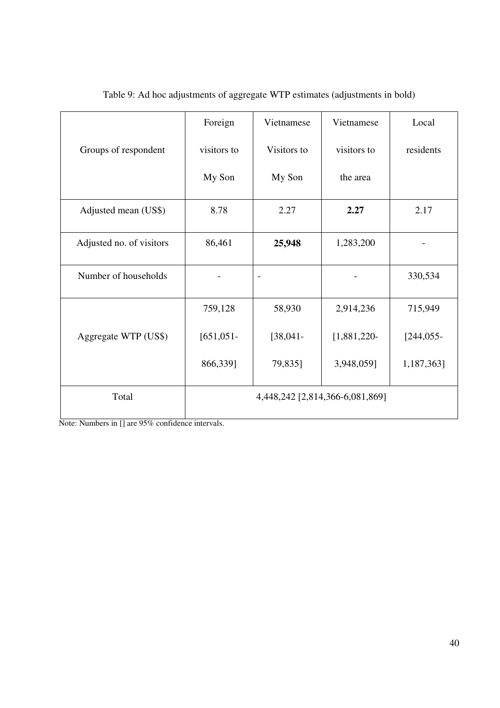|                          | Foreign     | Vietnamese     | Vietnamese                      | Local      |
|--------------------------|-------------|----------------|---------------------------------|------------|
| Groups of respondent     | visitors to | Visitors to    | visitors to                     | residents  |
|                          | My Son      | My Son         | the area                        |            |
| Adjusted mean (US\$)     | 8.78        | 2.27           | 2.27                            | 2.17       |
| Adjusted no. of visitors | 86,461      | 25,948         | 1,283,200                       |            |
| Number of households     |             | $\blacksquare$ |                                 | 330,534    |
|                          | 759,128     | 58,930         | 2,914,236                       | 715,949    |
| Aggregate WTP (US\$)     | [651, 051]  | [38,041]       | $[1,881,220-$                   | [244, 055] |
|                          | 866,339]    | 79,835]        | 3,948,059]                      | 1,187,363] |
| Total                    |             |                | 4,448,242 [2,814,366-6,081,869] |            |

Table 9: Ad hoc adjustments of aggregate WTP estimates (adjustments in bold)

Note: Numbers in [] are 95% confidence intervals.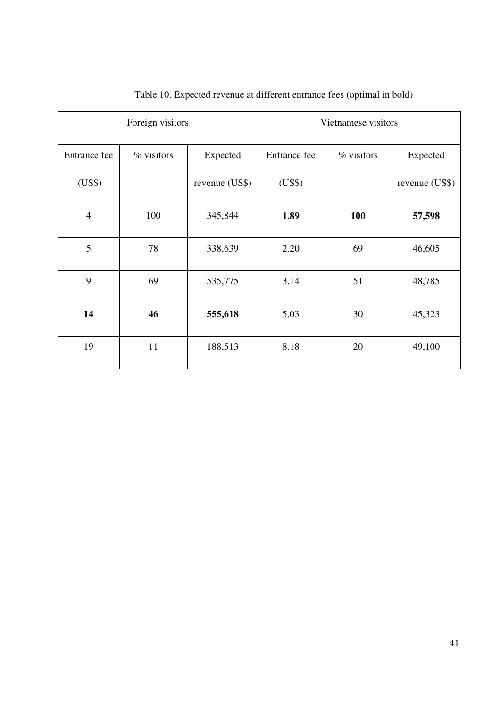|                | Foreign visitors |                |              | Vietnamese visitors |                |
|----------------|------------------|----------------|--------------|---------------------|----------------|
| Entrance fee   | % visitors       | Expected       | Entrance fee | % visitors          | Expected       |
| (US\$)         |                  | revenue (US\$) | (US\$)       |                     | revenue (US\$) |
| $\overline{4}$ | 100              | 345,844        | 1.89         | 100                 | 57,598         |
| 5              | 78               | 338,639        | 2.20         | 69                  | 46,605         |
| 9              | 69               | 535,775        | 3.14         | 51                  | 48,785         |
| 14             | 46               | 555,618        | 5.03         | 30                  | 45,323         |
| 19             | 11               | 188,513        | 8.18         | 20                  | 49,100         |

Table 10. Expected revenue at different entrance fees (optimal in bold)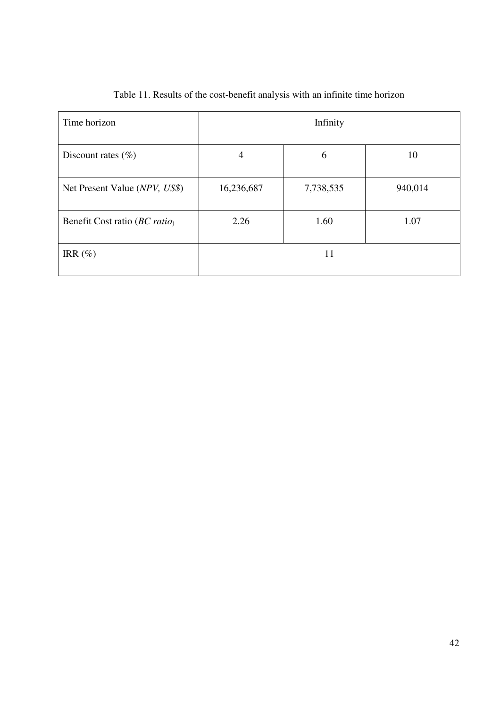| Time horizon                           | Infinity   |           |         |  |  |
|----------------------------------------|------------|-----------|---------|--|--|
| Discount rates $(\% )$                 | 4          | 6         | 10      |  |  |
| Net Present Value (NPV, US\$)          | 16,236,687 | 7,738,535 | 940,014 |  |  |
| Benefit Cost ratio ( <i>BC ratio</i> ) | 2.26       | 1.60      | 1.07    |  |  |
| IRR $(\%)$                             |            | 11        |         |  |  |

# Table 11. Results of the cost-benefit analysis with an infinite time horizon